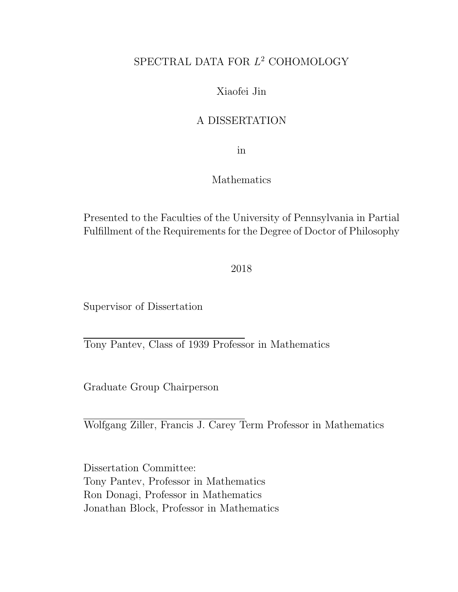### SPECTRAL DATA FOR  $L^2$  COHOMOLOGY

#### Xiaofei Jin

#### A DISSERTATION

in

#### Mathematics

Presented to the Faculties of the University of Pennsylvania in Partial Fulfillment of the Requirements for the Degree of Doctor of Philosophy

2018

Supervisor of Dissertation

Tony Pantev, Class of 1939 Professor in Mathematics

Graduate Group Chairperson

Wolfgang Ziller, Francis J. Carey Term Professor in Mathematics

Dissertation Committee: Tony Pantev, Professor in Mathematics Ron Donagi, Professor in Mathematics Jonathan Block, Professor in Mathematics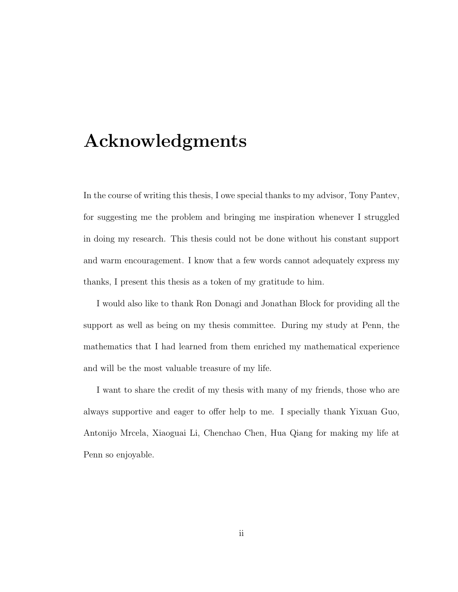# Acknowledgments

In the course of writing this thesis, I owe special thanks to my advisor, Tony Pantev, for suggesting me the problem and bringing me inspiration whenever I struggled in doing my research. This thesis could not be done without his constant support and warm encouragement. I know that a few words cannot adequately express my thanks, I present this thesis as a token of my gratitude to him.

I would also like to thank Ron Donagi and Jonathan Block for providing all the support as well as being on my thesis committee. During my study at Penn, the mathematics that I had learned from them enriched my mathematical experience and will be the most valuable treasure of my life.

I want to share the credit of my thesis with many of my friends, those who are always supportive and eager to offer help to me. I specially thank Yixuan Guo, Antonijo Mrcela, Xiaoguai Li, Chenchao Chen, Hua Qiang for making my life at Penn so enjoyable.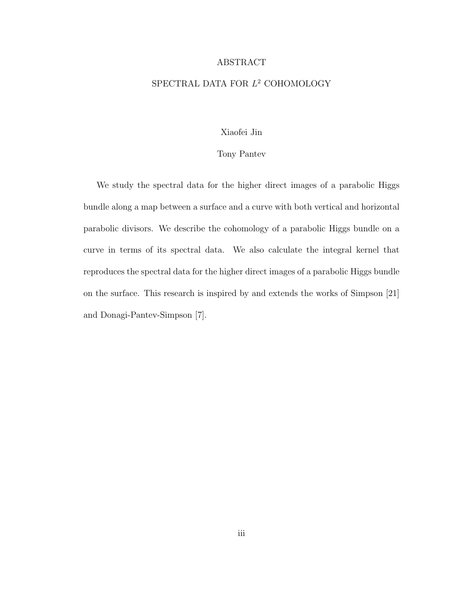#### ABSTRACT

#### SPECTRAL DATA FOR  $L^2$  COHOMOLOGY

#### Xiaofei Jin

#### Tony Pantev

We study the spectral data for the higher direct images of a parabolic Higgs bundle along a map between a surface and a curve with both vertical and horizontal parabolic divisors. We describe the cohomology of a parabolic Higgs bundle on a curve in terms of its spectral data. We also calculate the integral kernel that reproduces the spectral data for the higher direct images of a parabolic Higgs bundle on the surface. This research is inspired by and extends the works of Simpson [21] and Donagi-Pantev-Simpson [7].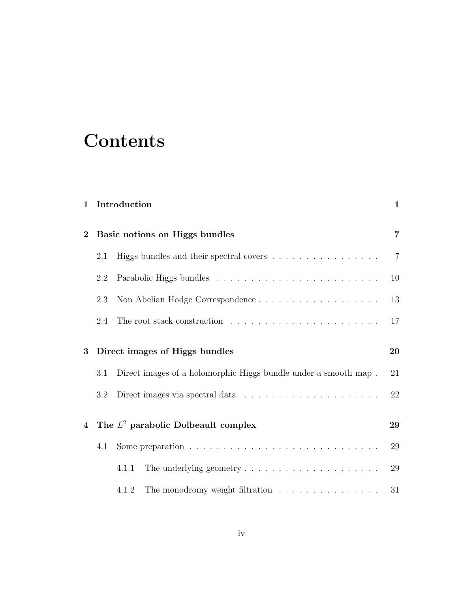# **Contents**

| $\mathbf{1}$   |     | Introduction                                                                   | $\mathbf{1}$   |
|----------------|-----|--------------------------------------------------------------------------------|----------------|
| $\bf{2}$       |     | Basic notions on Higgs bundles                                                 | $\overline{7}$ |
|                | 2.1 |                                                                                | $\overline{7}$ |
|                | 2.2 |                                                                                | 10             |
|                | 2.3 | Non Abelian Hodge Correspondence                                               | 13             |
|                | 2.4 | The root stack construction $\ldots \ldots \ldots \ldots \ldots \ldots \ldots$ | 17             |
| 3              |     | Direct images of Higgs bundles                                                 | 20             |
|                | 3.1 | Direct images of a holomorphic Higgs bundle under a smooth map.                | 21             |
|                | 3.2 |                                                                                | 22             |
| $\overline{4}$ |     | The $L^2$ parabolic Dolbeault complex                                          | 29             |
|                | 4.1 |                                                                                | 29             |
|                |     | 4.1.1                                                                          | 29             |
|                |     | The monodromy weight filtration<br>4.1.2                                       | 31             |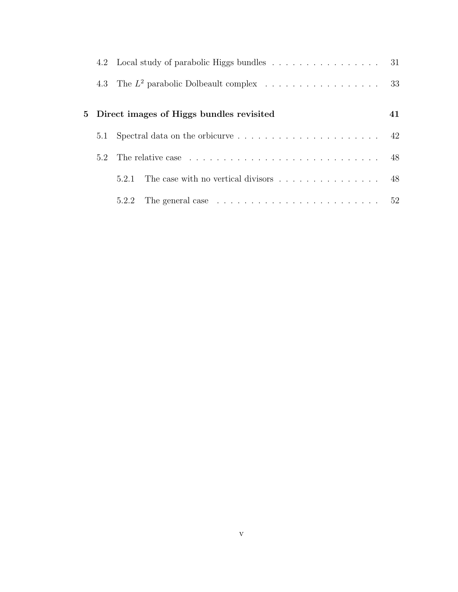|     | 4.2 Local study of parabolic Higgs bundles 31                                          |    |
|-----|----------------------------------------------------------------------------------------|----|
|     | 4.3 The $L^2$ parabolic Dolbeault complex 33                                           |    |
|     | 5 Direct images of Higgs bundles revisited                                             | 41 |
| 5.1 | Spectral data on the orbicurve $\ldots \ldots \ldots \ldots \ldots \ldots$ 42          |    |
| 5.2 |                                                                                        |    |
|     | The case with no vertical divisors $\dots \dots \dots \dots \dots \dots$ 48<br>521     |    |
|     | The general case $\ldots \ldots \ldots \ldots \ldots \ldots \ldots \ldots 52$<br>5.2.2 |    |
|     |                                                                                        |    |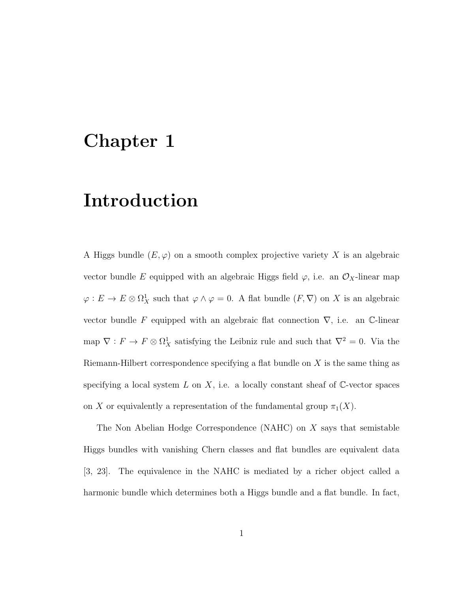### Chapter 1

# Introduction

A Higgs bundle  $(E, \varphi)$  on a smooth complex projective variety X is an algebraic vector bundle E equipped with an algebraic Higgs field  $\varphi$ , i.e. an  $\mathcal{O}_X$ -linear map  $\varphi: E \to E \otimes \Omega^1_X$  such that  $\varphi \wedge \varphi = 0$ . A flat bundle  $(F, \nabla)$  on X is an algebraic vector bundle F equipped with an algebraic flat connection  $\nabla$ , i.e. an C-linear map  $\nabla: F \to F \otimes \Omega^1_X$  satisfying the Leibniz rule and such that  $\nabla^2 = 0$ . Via the Riemann-Hilbert correspondence specifying a flat bundle on  $X$  is the same thing as specifying a local system L on X, i.e. a locally constant sheaf of  $\mathbb{C}\text{-vector spaces}$ on X or equivalently a representation of the fundamental group  $\pi_1(X)$ .

The Non Abelian Hodge Correspondence (NAHC) on X says that semistable Higgs bundles with vanishing Chern classes and flat bundles are equivalent data [3, 23]. The equivalence in the NAHC is mediated by a richer object called a harmonic bundle which determines both a Higgs bundle and a flat bundle. In fact,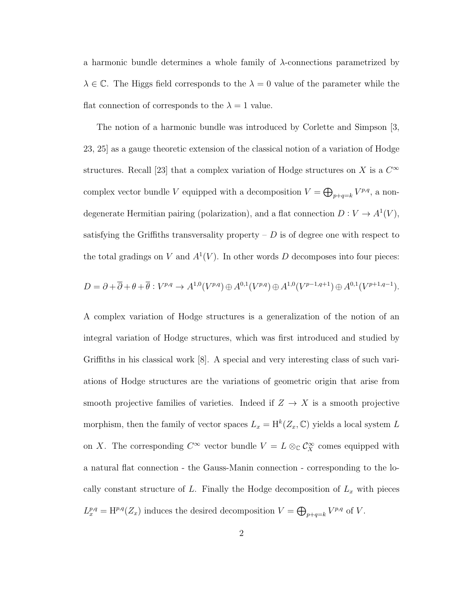a harmonic bundle determines a whole family of  $\lambda$ -connections parametrized by  $\lambda \in \mathbb{C}$ . The Higgs field corresponds to the  $\lambda = 0$  value of the parameter while the flat connection of corresponds to the  $\lambda = 1$  value.

The notion of a harmonic bundle was introduced by Corlette and Simpson [3, 23, 25] as a gauge theoretic extension of the classical notion of a variation of Hodge structures. Recall [23] that a complex variation of Hodge structures on X is a  $C^{\infty}$ complex vector bundle V equipped with a decomposition  $V = \bigoplus_{p+q=k} V^{p,q}$ , a nondegenerate Hermitian pairing (polarization), and a flat connection  $D: V \to A^1(V)$ , satisfying the Griffiths transversality property  $-D$  is of degree one with respect to the total gradings on V and  $A^1(V)$ . In other words D decomposes into four pieces:

$$
D = \partial + \overline{\partial} + \theta + \overline{\theta} : V^{p,q} \to A^{1,0}(V^{p,q}) \oplus A^{0,1}(V^{p,q}) \oplus A^{1,0}(V^{p-1,q+1}) \oplus A^{0,1}(V^{p+1,q-1}).
$$

A complex variation of Hodge structures is a generalization of the notion of an integral variation of Hodge structures, which was first introduced and studied by Griffiths in his classical work [8]. A special and very interesting class of such variations of Hodge structures are the variations of geometric origin that arise from smooth projective families of varieties. Indeed if  $Z \to X$  is a smooth projective morphism, then the family of vector spaces  $L_x = H^k(Z_x, \mathbb{C})$  yields a local system L on X. The corresponding  $C^{\infty}$  vector bundle  $V = L \otimes_{\mathbb{C}} C^{\infty}_X$  comes equipped with a natural flat connection - the Gauss-Manin connection - corresponding to the locally constant structure of L. Finally the Hodge decomposition of  $L_x$  with pieces  $L_x^{p,q} = H^{p,q}(Z_x)$  induces the desired decomposition  $V = \bigoplus_{p+q=k} V^{p,q}$  of V.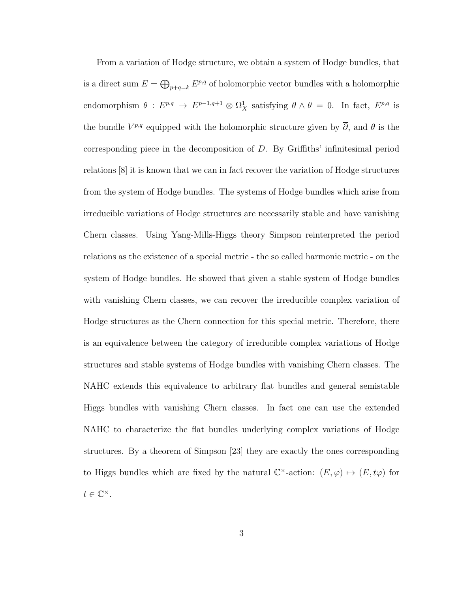From a variation of Hodge structure, we obtain a system of Hodge bundles, that is a direct sum  $E = \bigoplus_{p+q=k} E^{p,q}$  of holomorphic vector bundles with a holomorphic endomorphism  $\theta : E^{p,q} \to E^{p-1,q+1} \otimes \Omega_X^1$  satisfying  $\theta \wedge \theta = 0$ . In fact,  $E^{p,q}$  is the bundle  $V^{p,q}$  equipped with the holomorphic structure given by  $\overline{\partial}$ , and  $\theta$  is the corresponding piece in the decomposition of D. By Griffiths' infinitesimal period relations [8] it is known that we can in fact recover the variation of Hodge structures from the system of Hodge bundles. The systems of Hodge bundles which arise from irreducible variations of Hodge structures are necessarily stable and have vanishing Chern classes. Using Yang-Mills-Higgs theory Simpson reinterpreted the period relations as the existence of a special metric - the so called harmonic metric - on the system of Hodge bundles. He showed that given a stable system of Hodge bundles with vanishing Chern classes, we can recover the irreducible complex variation of Hodge structures as the Chern connection for this special metric. Therefore, there is an equivalence between the category of irreducible complex variations of Hodge structures and stable systems of Hodge bundles with vanishing Chern classes. The NAHC extends this equivalence to arbitrary flat bundles and general semistable Higgs bundles with vanishing Chern classes. In fact one can use the extended NAHC to characterize the flat bundles underlying complex variations of Hodge structures. By a theorem of Simpson [23] they are exactly the ones corresponding to Higgs bundles which are fixed by the natural  $\mathbb{C}^{\times}$ -action:  $(E, \varphi) \mapsto (E, t\varphi)$  for  $t \in \mathbb{C}^{\times}$ .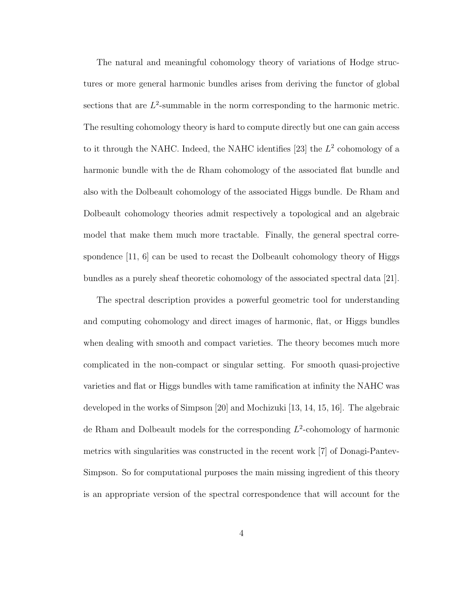The natural and meaningful cohomology theory of variations of Hodge structures or more general harmonic bundles arises from deriving the functor of global sections that are  $L^2$ -summable in the norm corresponding to the harmonic metric. The resulting cohomology theory is hard to compute directly but one can gain access to it through the NAHC. Indeed, the NAHC identifies [23] the  $L^2$  cohomology of a harmonic bundle with the de Rham cohomology of the associated flat bundle and also with the Dolbeault cohomology of the associated Higgs bundle. De Rham and Dolbeault cohomology theories admit respectively a topological and an algebraic model that make them much more tractable. Finally, the general spectral correspondence [11, 6] can be used to recast the Dolbeault cohomology theory of Higgs bundles as a purely sheaf theoretic cohomology of the associated spectral data [21].

The spectral description provides a powerful geometric tool for understanding and computing cohomology and direct images of harmonic, flat, or Higgs bundles when dealing with smooth and compact varieties. The theory becomes much more complicated in the non-compact or singular setting. For smooth quasi-projective varieties and flat or Higgs bundles with tame ramification at infinity the NAHC was developed in the works of Simpson [20] and Mochizuki [13, 14, 15, 16]. The algebraic de Rham and Dolbeault models for the corresponding  $L^2$ -cohomology of harmonic metrics with singularities was constructed in the recent work [7] of Donagi-Pantev-Simpson. So for computational purposes the main missing ingredient of this theory is an appropriate version of the spectral correspondence that will account for the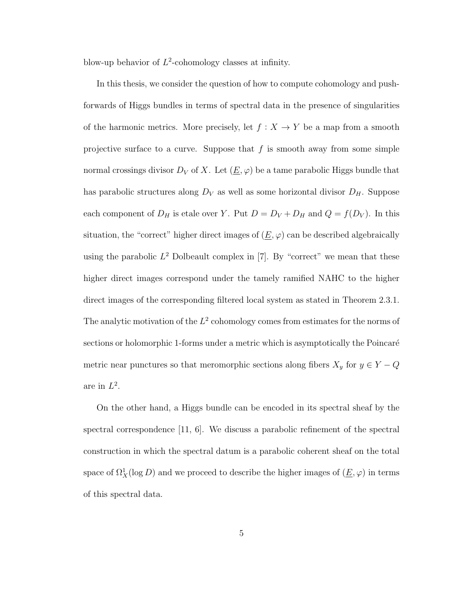blow-up behavior of  $L^2$ -cohomology classes at infinity.

In this thesis, we consider the question of how to compute cohomology and pushforwards of Higgs bundles in terms of spectral data in the presence of singularities of the harmonic metrics. More precisely, let  $f : X \to Y$  be a map from a smooth projective surface to a curve. Suppose that  $f$  is smooth away from some simple normal crossings divisor  $D_V$  of X. Let  $(\underline{E}, \varphi)$  be a tame parabolic Higgs bundle that has parabolic structures along  $D_V$  as well as some horizontal divisor  $D_H$ . Suppose each component of  $D_H$  is etale over Y. Put  $D = D_V + D_H$  and  $Q = f(D_V)$ . In this situation, the "correct" higher direct images of  $(\underline{E}, \varphi)$  can be described algebraically using the parabolic  $L^2$  Dolbeault complex in [7]. By "correct" we mean that these higher direct images correspond under the tamely ramified NAHC to the higher direct images of the corresponding filtered local system as stated in Theorem 2.3.1. The analytic motivation of the  $L^2$  cohomology comes from estimates for the norms of sections or holomorphic 1-forms under a metric which is asymptotically the Poincaré metric near punctures so that meromorphic sections along fibers  $X_y$  for  $y \in Y - Q$ are in  $L^2$ .

On the other hand, a Higgs bundle can be encoded in its spectral sheaf by the spectral correspondence  $\vert 11, 6 \vert$ . We discuss a parabolic refinement of the spectral construction in which the spectral datum is a parabolic coherent sheaf on the total space of  $\Omega^1_X(\log D)$  and we proceed to describe the higher images of  $(\underline{E}, \varphi)$  in terms of this spectral data.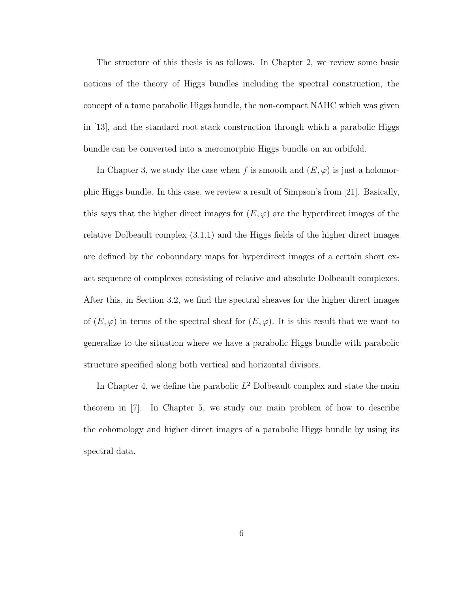The structure of this thesis is as follows. In Chapter 2, we review some basic notions of the theory of Higgs bundles including the spectral construction, the concept of a tame parabolic Higgs bundle, the non-compact NAHC which was given in [13], and the standard root stack construction through which a parabolic Higgs bundle can be converted into a meromorphic Higgs bundle on an orbifold.

In Chapter 3, we study the case when f is smooth and  $(E, \varphi)$  is just a holomorphic Higgs bundle. In this case, we review a result of Simpson's from [21]. Basically, this says that the higher direct images for  $(E, \varphi)$  are the hyperdirect images of the relative Dolbeault complex (3.1.1) and the Higgs fields of the higher direct images are defined by the coboundary maps for hyperdirect images of a certain short exact sequence of complexes consisting of relative and absolute Dolbeault complexes. After this, in Section 3.2, we find the spectral sheaves for the higher direct images of  $(E, \varphi)$  in terms of the spectral sheaf for  $(E, \varphi)$ . It is this result that we want to generalize to the situation where we have a parabolic Higgs bundle with parabolic structure specified along both vertical and horizontal divisors.

In Chapter 4, we define the parabolic  $L^2$  Dolbeault complex and state the main theorem in [7]. In Chapter 5, we study our main problem of how to describe the cohomology and higher direct images of a parabolic Higgs bundle by using its spectral data.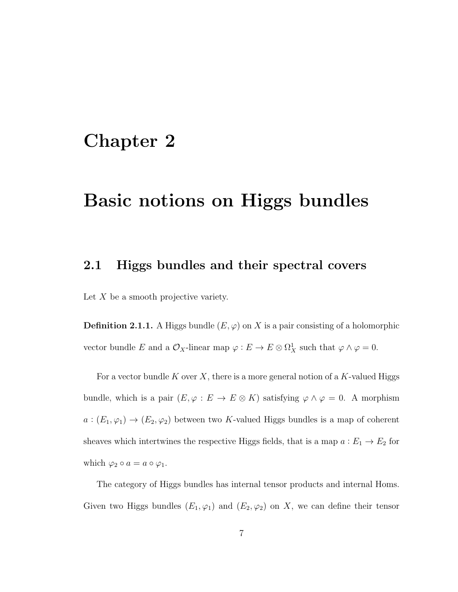### Chapter 2

# Basic notions on Higgs bundles

### 2.1 Higgs bundles and their spectral covers

Let  $X$  be a smooth projective variety.

**Definition 2.1.1.** A Higgs bundle  $(E, \varphi)$  on X is a pair consisting of a holomorphic vector bundle E and a  $\mathcal{O}_X$ -linear map  $\varphi : E \to E \otimes \Omega^1_X$  such that  $\varphi \wedge \varphi = 0$ .

For a vector bundle K over X, there is a more general notion of a K-valued Higgs bundle, which is a pair  $(E, \varphi : E \to E \otimes K)$  satisfying  $\varphi \wedge \varphi = 0$ . A morphism  $a:(E_1,\varphi_1)\to (E_2,\varphi_2)$  between two K-valued Higgs bundles is a map of coherent sheaves which intertwines the respective Higgs fields, that is a map  $a: E_1 \to E_2$  for which  $\varphi_2 \circ a = a \circ \varphi_1$ .

The category of Higgs bundles has internal tensor products and internal Homs. Given two Higgs bundles  $(E_1, \varphi_1)$  and  $(E_2, \varphi_2)$  on X, we can define their tensor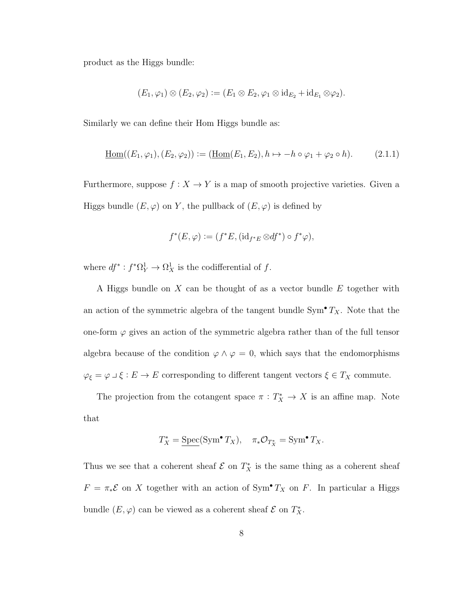product as the Higgs bundle:

$$
(E_1,\varphi_1)\otimes (E_2,\varphi_2)\mathrel{\mathop:}= (E_1\otimes E_2,\varphi_1\otimes\mathrm{id}_{E_2}+\mathrm{id}_{E_1}\otimes\varphi_2).
$$

Similarly we can define their Hom Higgs bundle as:

$$
\underline{\text{Hom}}((E_1, \varphi_1), (E_2, \varphi_2)) := (\underline{\text{Hom}}(E_1, E_2), h \mapsto -h \circ \varphi_1 + \varphi_2 \circ h). \tag{2.1.1}
$$

Furthermore, suppose  $f: X \rightarrow Y$  is a map of smooth projective varieties. Given a Higgs bundle  $(E, \varphi)$  on Y, the pullback of  $(E, \varphi)$  is defined by

$$
f^*(E, \varphi) := (f^*E, (\mathrm{id}_{f^*E} \otimes df^*) \circ f^* \varphi),
$$

where  $df^* : f^* \Omega_Y^1 \to \Omega_X^1$  is the codifferential of f.

A Higgs bundle on X can be thought of as a vector bundle E together with an action of the symmetric algebra of the tangent bundle  $Sym^{\bullet} T_X$ . Note that the one-form  $\varphi$  gives an action of the symmetric algebra rather than of the full tensor algebra because of the condition  $\varphi \wedge \varphi = 0$ , which says that the endomorphisms  $\varphi_{\xi} = \varphi \sqcup \xi : E \to E$  corresponding to different tangent vectors  $\xi \in T_X$  commute.

The projection from the cotangent space  $\pi : T_X^* \to X$  is an affine map. Note that

$$
T_X^* = \underline{\text{Spec}}(\text{Sym}^{\bullet} T_X), \quad \pi_* \mathcal{O}_{T_X^*} = \text{Sym}^{\bullet} T_X.
$$

Thus we see that a coherent sheaf  $\mathcal E$  on  $T^*_X$  is the same thing as a coherent sheaf  $F = \pi_* \mathcal{E}$  on X together with an action of Sym<sup>•</sup>  $T_X$  on F. In particular a Higgs bundle  $(E, \varphi)$  can be viewed as a coherent sheaf  $\mathcal E$  on  $T^*_{X}$ .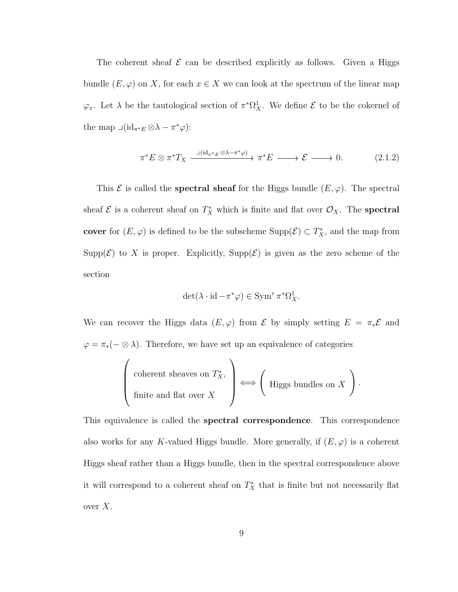The coherent sheaf  $\mathcal E$  can be described explicitly as follows. Given a Higgs bundle  $(E, \varphi)$  on X, for each  $x \in X$  we can look at the spectrum of the linear map  $\varphi_x$ . Let  $\lambda$  be the tautological section of  $\pi^*\Omega^1_X$ . We define  $\mathcal E$  to be the cokernel of the map  $\Box(\mathrm{id}_{\pi^*E} \otimes \lambda - \pi^*\varphi)$ :

$$
\pi^* E \otimes \pi^* T_X \xrightarrow{\lrcorner (\mathrm{id}_{\pi^* E} \otimes \lambda - \pi^* \varphi)} \pi^* E \longrightarrow \mathcal{E} \longrightarrow 0. \tag{2.1.2}
$$

This  $\mathcal E$  is called the **spectral sheaf** for the Higgs bundle  $(E, \varphi)$ . The spectral sheaf  $\mathcal{E}$  is a coherent sheaf on  $T_X^*$  which is finite and flat over  $\mathcal{O}_X$ . The **spectral** cover for  $(E, \varphi)$  is defined to be the subscheme  $\text{Supp}(\mathcal{E}) \subset T_X^*$ , and the map from Supp $(\mathcal{E})$  to X is proper. Explicitly, Supp $(\mathcal{E})$  is given as the zero scheme of the section

$$
\det(\lambda \cdot \mathrm{id} - \pi^* \varphi) \in \mathrm{Sym}^r \pi^* \Omega^1_X.
$$

We can recover the Higgs data  $(E, \varphi)$  from  $\mathcal E$  by simply setting  $E = \pi_* \mathcal E$  and  $\varphi = \pi_*(- \otimes \lambda)$ . Therefore, we have set up an equivalence of categories

$$
\left(\begin{array}{c}\text{coherent sheaves on }T_X^*,\\ \text{finite and flat over }X\end{array}\right) \Longleftrightarrow \left(\begin{array}{c}\text{Higgs bundles on }X\\ \end{array}\right).
$$

This equivalence is called the **spectral correspondence**. This correspondence also works for any K-valued Higgs bundle. More generally, if  $(E, \varphi)$  is a coherent Higgs sheaf rather than a Higgs bundle, then in the spectral correspondence above it will correspond to a coherent sheaf on  $T_X^*$  that is finite but not necessarily flat over  $X$ .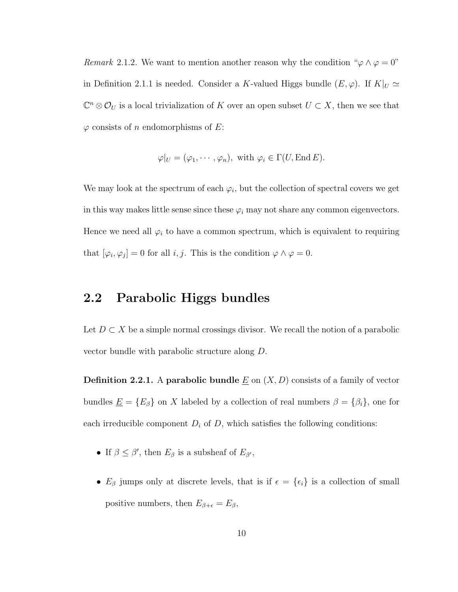Remark 2.1.2. We want to mention another reason why the condition " $\varphi \wedge \varphi = 0$ " in Definition 2.1.1 is needed. Consider a K-valued Higgs bundle  $(E, \varphi)$ . If  $K|_{U} \simeq$  $\mathbb{C}^n \otimes \mathcal{O}_U$  is a local trivialization of K over an open subset  $U \subset X$ , then we see that  $\varphi$  consists of n endomorphisms of E:

$$
\varphi|_U = (\varphi_1, \cdots, \varphi_n), \text{ with } \varphi_i \in \Gamma(U, \text{End } E).
$$

We may look at the spectrum of each  $\varphi_i$ , but the collection of spectral covers we get in this way makes little sense since these  $\varphi_i$  may not share any common eigenvectors. Hence we need all  $\varphi_i$  to have a common spectrum, which is equivalent to requiring that  $[\varphi_i, \varphi_j] = 0$  for all *i*, *j*. This is the condition  $\varphi \wedge \varphi = 0$ .

### 2.2 Parabolic Higgs bundles

Let  $D \subset X$  be a simple normal crossings divisor. We recall the notion of a parabolic vector bundle with parabolic structure along D.

**Definition 2.2.1.** A parabolic bundle  $\underline{E}$  on  $(X, D)$  consists of a family of vector bundles  $\underline{E} = \{E_\beta\}$  on X labeled by a collection of real numbers  $\beta = \{\beta_i\}$ , one for each irreducible component  $D_i$  of  $D$ , which satisfies the following conditions:

- If  $\beta \leq \beta'$ , then  $E_{\beta}$  is a subsheaf of  $E_{\beta'}$ ,
- $E_\beta$  jumps only at discrete levels, that is if  $\epsilon = {\epsilon_i}$  is a collection of small positive numbers, then  $E_{\beta+\epsilon} = E_{\beta}$ ,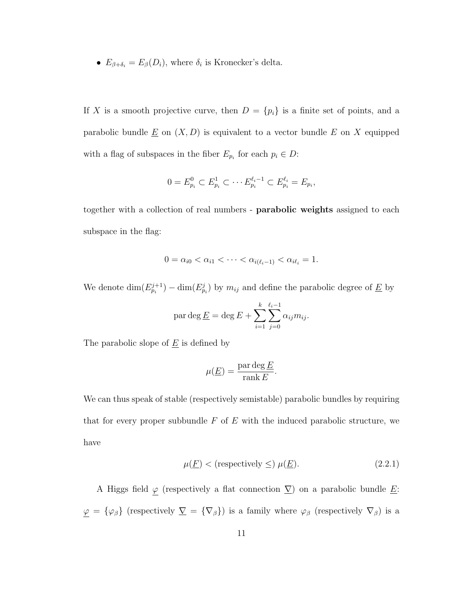•  $E_{\beta+\delta_i} = E_{\beta}(D_i)$ , where  $\delta_i$  is Kronecker's delta.

If X is a smooth projective curve, then  $D = \{p_i\}$  is a finite set of points, and a parabolic bundle  $\underline{E}$  on  $(X, D)$  is equivalent to a vector bundle  $E$  on  $X$  equipped with a flag of subspaces in the fiber  $E_{p_i}$  for each  $p_i \in D$ :

$$
0 = E_{p_i}^0 \subset E_{p_i}^1 \subset \cdots E_{p_i}^{\ell_i - 1} \subset E_{p_i}^{\ell_i} = E_{p_i},
$$

together with a collection of real numbers - parabolic weights assigned to each subspace in the flag:

$$
0 = \alpha_{i0} < \alpha_{i1} < \cdots < \alpha_{i(\ell_i - 1)} < \alpha_{i\ell_i} = 1.
$$

We denote  $\dim(E_{p_i}^{j+1}) - \dim(E_{p_i}^j)$  by  $m_{ij}$  and define the parabolic degree of  $\underline{E}$  by

$$
\text{par } \deg \underline{E} = \deg E + \sum_{i=1}^{k} \sum_{j=0}^{\ell_i - 1} \alpha_{ij} m_{ij}.
$$

The parabolic slope of  $\underline{E}$  is defined by

$$
\mu(\underline{E}) = \frac{\operatorname{par} \deg \underline{E}}{\operatorname{rank} E}
$$

We can thus speak of stable (respectively semistable) parabolic bundles by requiring that for every proper subbundle  $F$  of  $E$  with the induced parabolic structure, we have

$$
\mu(\underline{F}) < \text{(respectively } \leq) \ \mu(\underline{E}).\tag{2.2.1}
$$

.

A Higgs field  $\varphi$  (respectively a flat connection  $\Sigma$ ) on a parabolic bundle  $\underline{E}$ :  $\mathcal{L} = {\varphi_{\beta}}$  (respectively  $\nabla = {\nabla_{\beta}}$ ) is a family where  $\varphi_{\beta}$  (respectively  $\nabla_{\beta}$ ) is a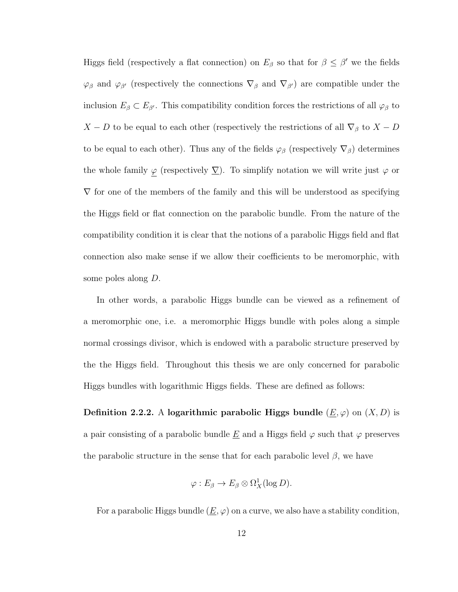Higgs field (respectively a flat connection) on  $E_\beta$  so that for  $\beta \leq \beta'$  we the fields  $\varphi_{\beta}$  and  $\varphi_{\beta'}$  (respectively the connections  $\nabla_{\beta}$  and  $\nabla_{\beta'}$ ) are compatible under the inclusion  $E_\beta \subset E_{\beta'}$ . This compatibility condition forces the restrictions of all  $\varphi_\beta$  to  $X - D$  to be equal to each other (respectively the restrictions of all  $\nabla_{\beta}$  to  $X - D$ to be equal to each other). Thus any of the fields  $\varphi_\beta$  (respectively  $\nabla_\beta$ ) determines the whole family  $\varphi$  (respectively  $\Sigma$ ). To simplify notation we will write just  $\varphi$  or  $\nabla$  for one of the members of the family and this will be understood as specifying the Higgs field or flat connection on the parabolic bundle. From the nature of the compatibility condition it is clear that the notions of a parabolic Higgs field and flat connection also make sense if we allow their coefficients to be meromorphic, with some poles along D.

In other words, a parabolic Higgs bundle can be viewed as a refinement of a meromorphic one, i.e. a meromorphic Higgs bundle with poles along a simple normal crossings divisor, which is endowed with a parabolic structure preserved by the the Higgs field. Throughout this thesis we are only concerned for parabolic Higgs bundles with logarithmic Higgs fields. These are defined as follows:

Definition 2.2.2. A logarithmic parabolic Higgs bundle  $(\underline{E}, \varphi)$  on  $(X, D)$  is a pair consisting of a parabolic bundle  $\underline{E}$  and a Higgs field  $\varphi$  such that  $\varphi$  preserves the parabolic structure in the sense that for each parabolic level  $\beta$ , we have

$$
\varphi: E_{\beta} \to E_{\beta} \otimes \Omega_X^1(\log D).
$$

For a parabolic Higgs bundle  $(\underline{E}, \varphi)$  on a curve, we also have a stability condition,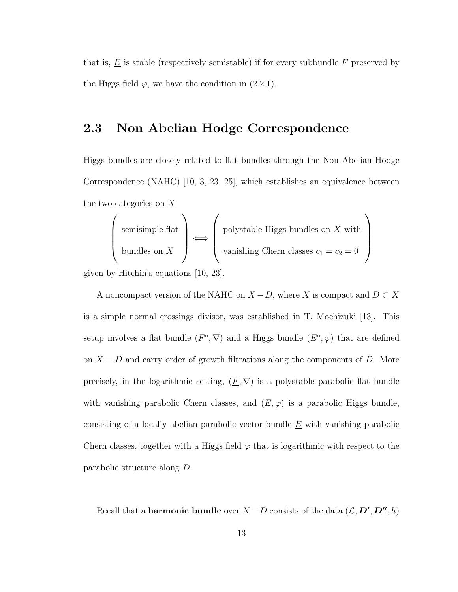that is,  $\underline{E}$  is stable (respectively semistable) if for every subbundle  $F$  preserved by the Higgs field  $\varphi$ , we have the condition in (2.2.1).

### 2.3 Non Abelian Hodge Correspondence

Higgs bundles are closely related to flat bundles through the Non Abelian Hodge Correspondence (NAHC) [10, 3, 23, 25], which establishes an equivalence between the two categories on X

$$
\left(\begin{array}{c}\text{semisimple flat} \\ \text{bundles on } X\end{array}\right) \Longleftrightarrow \left(\begin{array}{c}\text{polystable Higgs bundles on } X \text{ with} \\ \text{vanishing Chern classes } c_1 = c_2 = 0\end{array}\right)
$$

given by Hitchin's equations [10, 23].

A noncompact version of the NAHC on  $X - D$ , where X is compact and  $D \subset X$ is a simple normal crossings divisor, was established in T. Mochizuki [13]. This setup involves a flat bundle  $(F^{\circ}, \nabla)$  and a Higgs bundle  $(E^{\circ}, \varphi)$  that are defined on  $X - D$  and carry order of growth filtrations along the components of D. More precisely, in the logarithmic setting,  $(E, \nabla)$  is a polystable parabolic flat bundle with vanishing parabolic Chern classes, and  $(\underline{E}, \varphi)$  is a parabolic Higgs bundle, consisting of a locally abelian parabolic vector bundle  $\underline{E}$  with vanishing parabolic Chern classes, together with a Higgs field  $\varphi$  that is logarithmic with respect to the parabolic structure along D.

Recall that a **harmonic bundle** over  $X - D$  consists of the data  $(L, D', D'', h)$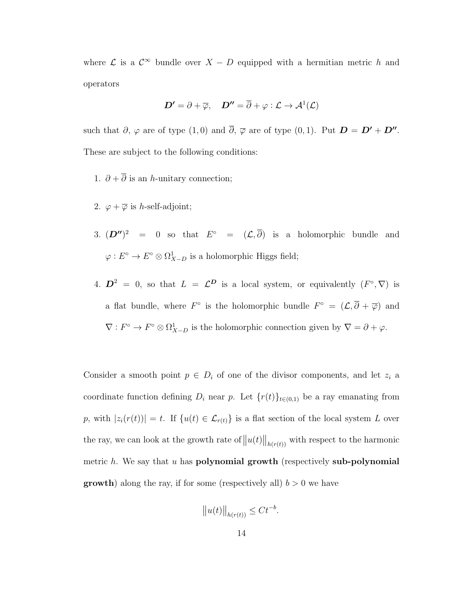where  $\mathcal L$  is a  $\mathcal C^{\infty}$  bundle over  $X - D$  equipped with a hermitian metric h and operators

$$
\boldsymbol{D'} = \partial + \overline{\varphi}, \quad \boldsymbol{D''} = \overline{\partial} + \varphi : \mathcal{L} \to \mathcal{A}^1(\mathcal{L})
$$

such that  $\partial$ ,  $\varphi$  are of type  $(1,0)$  and  $\overline{\partial}$ ,  $\overline{\varphi}$  are of type  $(0,1)$ . Put  $\mathbf{D} = \mathbf{D'} + \mathbf{D''}$ . These are subject to the following conditions:

- 1.  $\partial + \overline{\partial}$  is an *h*-unitary connection;
- 2.  $\varphi + \overline{\varphi}$  is *h*-self-adjoint;
- 3.  $(D'')^2 = 0$  so that  $E^{\circ} = (\mathcal{L}, \overline{\partial})$  is a holomorphic bundle and  $\varphi: E^{\circ} \to E^{\circ} \otimes \Omega^{1}_{X-D}$  is a holomorphic Higgs field;
- 4.  $\mathbf{D}^2 = 0$ , so that  $L = \mathcal{L}^D$  is a local system, or equivalently  $(F^{\circ}, \nabla)$  is a flat bundle, where  $F^{\circ}$  is the holomorphic bundle  $F^{\circ} = (\mathcal{L}, \overline{\partial} + \overline{\varphi})$  and  $\nabla: F^{\circ} \to F^{\circ} \otimes \Omega^1_{X-D}$  is the holomorphic connection given by  $\nabla = \partial + \varphi$ .

Consider a smooth point  $p \in D_i$  of one of the divisor components, and let  $z_i$  a coordinate function defining  $D_i$  near p. Let  $\{r(t)\}_{t\in(0,1)}$  be a ray emanating from p, with  $|z_i(r(t))| = t$ . If  $\{u(t) \in \mathcal{L}_{r(t)}\}$  is a flat section of the local system L over the ray, we can look at the growth rate of  $||u(t)||_{h(r(t))}$  with respect to the harmonic metric h. We say that u has **polynomial growth** (respectively sub-polynomial **growth**) along the ray, if for some (respectively all)  $b > 0$  we have

$$
\|u(t)\|_{h(r(t))} \le Ct^{-b}.
$$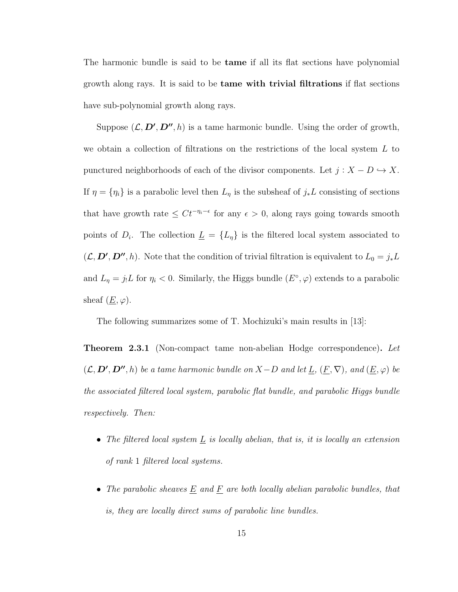The harmonic bundle is said to be **tame** if all its flat sections have polynomial growth along rays. It is said to be tame with trivial filtrations if flat sections have sub-polynomial growth along rays.

Suppose  $(\mathcal{L}, D', D'', h)$  is a tame harmonic bundle. Using the order of growth, we obtain a collection of filtrations on the restrictions of the local system  $L$  to punctured neighborhoods of each of the divisor components. Let  $j: X - D \hookrightarrow X$ . If  $\eta = {\eta_i}$  is a parabolic level then  $L_{\eta}$  is the subsheaf of  $j_*L$  consisting of sections that have growth rate  $\leq Ct^{-\eta_i-\epsilon}$  for any  $\epsilon > 0$ , along rays going towards smooth points of  $D_i$ . The collection  $\underline{L} = \{L_{\eta}\}\$ is the filtered local system associated to  $(\mathcal{L}, \mathcal{D}', \mathcal{D}'', h)$ . Note that the condition of trivial filtration is equivalent to  $L_0 = j_*L$ and  $L_{\eta} = j_1 L$  for  $\eta_i < 0$ . Similarly, the Higgs bundle  $(E^{\circ}, \varphi)$  extends to a parabolic sheaf  $(\underline{E}, \varphi)$ .

The following summarizes some of T. Mochizuki's main results in [13]:

**Theorem 2.3.1** (Non-compact tame non-abelian Hodge correspondence). Let  $(\mathcal{L}, \mathcal{D}', \mathcal{D}'', h)$  be a tame harmonic bundle on  $X-D$  and let  $\underline{L}, (\underline{F}, \nabla)$ , and  $(\underline{E}, \varphi)$  be the associated filtered local system, parabolic flat bundle, and parabolic Higgs bundle respectively. Then:

- The filtered local system  $\underline{L}$  is locally abelian, that is, it is locally an extension of rank 1 filtered local systems.
- The parabolic sheaves  $\underline{E}$  and  $\underline{F}$  are both locally abelian parabolic bundles, that is, they are locally direct sums of parabolic line bundles.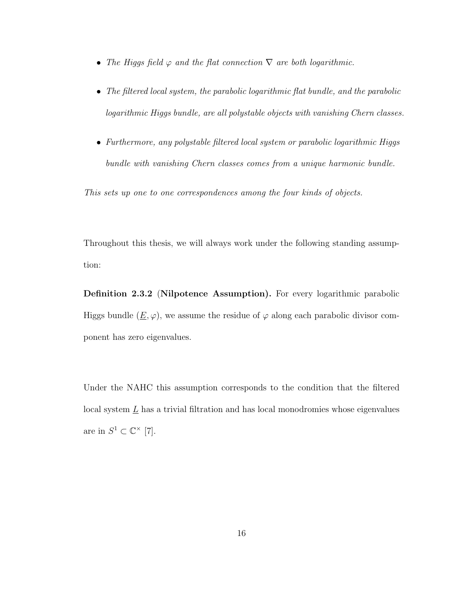- The Higgs field  $\varphi$  and the flat connection  $\nabla$  are both logarithmic.
- The filtered local system, the parabolic logarithmic flat bundle, and the parabolic logarithmic Higgs bundle, are all polystable objects with vanishing Chern classes.
- Furthermore, any polystable filtered local system or parabolic logarithmic Higgs bundle with vanishing Chern classes comes from a unique harmonic bundle.

This sets up one to one correspondences among the four kinds of objects.

Throughout this thesis, we will always work under the following standing assumption:

Definition 2.3.2 (Nilpotence Assumption). For every logarithmic parabolic Higgs bundle  $(\underline{E}, \varphi)$ , we assume the residue of  $\varphi$  along each parabolic divisor component has zero eigenvalues.

Under the NAHC this assumption corresponds to the condition that the filtered local system  $\underline{L}$  has a trivial filtration and has local monodromies whose eigenvalues are in  $S^1 \subset \mathbb{C}^\times$  [7].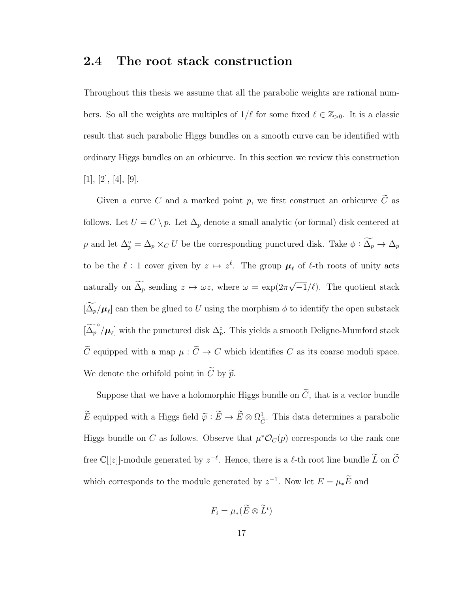### 2.4 The root stack construction

Throughout this thesis we assume that all the parabolic weights are rational numbers. So all the weights are multiples of  $1/\ell$  for some fixed  $\ell \in \mathbb{Z}_{>0}$ . It is a classic result that such parabolic Higgs bundles on a smooth curve can be identified with ordinary Higgs bundles on an orbicurve. In this section we review this construction  $[1], [2], [4], [9].$ 

Given a curve C and a marked point p, we first construct an orbicurve  $\widetilde{C}$  as follows. Let  $U = C \setminus p$ . Let  $\Delta_p$  denote a small analytic (or formal) disk centered at p and let  $\Delta_p^{\circ} = \Delta_p \times_C U$  be the corresponding punctured disk. Take  $\phi : \Delta_p \to \Delta_p$ to be the  $\ell : 1$  cover given by  $z \mapsto z^{\ell}$ . The group  $\mu_{\ell}$  of  $\ell$ -th roots of unity acts naturally on  $\Delta_p$  sending  $z \mapsto \omega z$ , where  $\omega = \exp(2\pi \omega)$ √  $\overline{-1}/\ell$ ). The quotient stack  $[\Delta_p/\mu_\ell]$  can then be glued to U using the morphism  $\phi$  to identify the open substack  $\left[\widetilde{\Delta_p}^\circ/\mu_\ell\right]$  with the punctured disk  $\Delta_p^\circ$ . This yields a smooth Deligne-Mumford stack  $\widetilde{C}$  equipped with a map  $\mu : \widetilde{C} \to C$  which identifies  $C$  as its coarse moduli space. We denote the orbifold point in  $\widetilde{C}$  by  $\widetilde{p}$ .

Suppose that we have a holomorphic Higgs bundle on  $\tilde{C}$ , that is a vector bundle  $\widetilde{E}$  equipped with a Higgs field  $\widetilde{\varphi} : \widetilde{E} \to \widetilde{E} \otimes \Omega_{\widetilde{C}}^1$  $\mathcal{C}$ . This data determines a parabolic Higgs bundle on C as follows. Observe that  $\mu^* \mathcal{O}_C(p)$  corresponds to the rank one free  $\mathbb{C}[[z]]$ -module generated by  $z^{-\ell}$ . Hence, there is a  $\ell$ -th root line bundle  $\widetilde{L}$  on  $\widetilde{C}$ which corresponds to the module generated by  $z^{-1}$ . Now let  $E = \mu_* \tilde{E}$  and

$$
F_i = \mu_*({\widetilde{E}} \otimes {\widetilde{L}}^i)
$$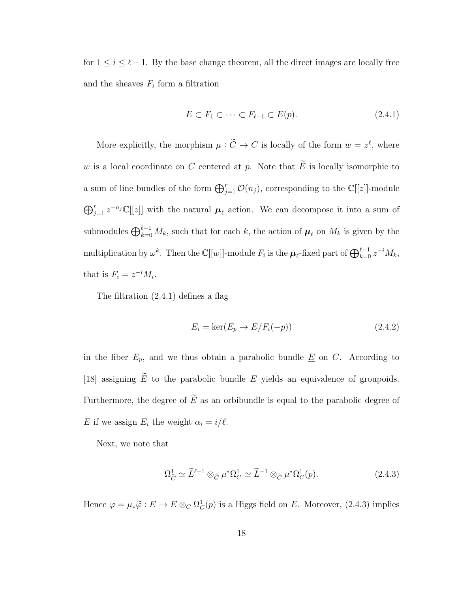for  $1 \leq i \leq \ell - 1$ . By the base change theorem, all the direct images are locally free and the sheaves  $F_i$  form a filtration

$$
E \subset F_1 \subset \cdots \subset F_{\ell-1} \subset E(p). \tag{2.4.1}
$$

More explicitly, the morphism  $\mu : \tilde{C} \to C$  is locally of the form  $w = z^{\ell}$ , where w is a local coordinate on C centered at p. Note that  $\widetilde{E}$  is locally isomorphic to a sum of line bundles of the form  $\bigoplus_{j=1}^r \mathcal{O}(n_j)$ , corresponding to the  $\mathbb{C}[[z]]$ -module  $\bigoplus_{j=1}^r z^{-n_j} \mathbb{C}[[z]]$  with the natural  $\mu_\ell$  action. We can decompose it into a sum of submodules  $\bigoplus_{k=0}^{\ell-1} M_k$ , such that for each k, the action of  $\mu_\ell$  on  $M_k$  is given by the multiplication by  $\omega^k$ . Then the  $\mathbb{C}[[w]]$ -module  $F_i$  is the  $\mu_\ell$ -fixed part of  $\bigoplus_{k=0}^{\ell-1} z^{-i}M_k$ , that is  $F_i = z^{-i}M_i$ .

The filtration (2.4.1) defines a flag

$$
E_i = \ker(E_p \to E/F_i(-p))\tag{2.4.2}
$$

in the fiber  $E_p$ , and we thus obtain a parabolic bundle  $\underline{E}$  on  $C$ . According to [18] assigning  $\widetilde{E}$  to the parabolic bundle  $\underline{E}$  yields an equivalence of groupoids. Furthermore, the degree of  $\widetilde{E}$  as an orbibundle is equal to the parabolic degree of  $\underline{E}$  if we assign  $E_i$  the weight  $\alpha_i = i/\ell$ .

Next, we note that

$$
\Omega_{\widetilde{C}}^1 \simeq \widetilde{L}^{\ell-1} \otimes_{\widetilde{C}} \mu^* \Omega_C^1 \simeq \widetilde{L}^{-1} \otimes_{\widetilde{C}} \mu^* \Omega_C^1(p). \tag{2.4.3}
$$

Hence  $\varphi = \mu_* \widetilde{\varphi} : E \to E \otimes_C \Omega_C^1(p)$  is a Higgs field on E. Moreover, (2.4.3) implies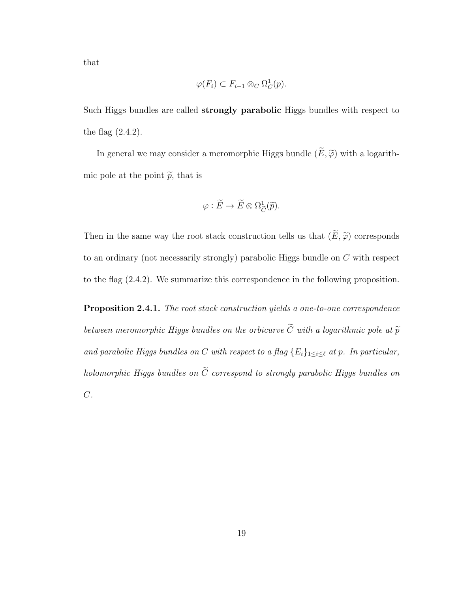that

$$
\varphi(F_i) \subset F_{i-1} \otimes_C \Omega_C^1(p).
$$

Such Higgs bundles are called strongly parabolic Higgs bundles with respect to the flag  $(2.4.2)$ .

In general we may consider a meromorphic Higgs bundle  $(\widetilde{E}, \widetilde{\varphi})$  with a logarithmic pole at the point  $\tilde{p}$ , that is

$$
\varphi : \widetilde{E} \to \widetilde{E} \otimes \Omega_{\widetilde{C}}^1(\widetilde{p}).
$$

Then in the same way the root stack construction tells us that  $(\widetilde{E}, \widetilde{\varphi})$  corresponds to an ordinary (not necessarily strongly) parabolic Higgs bundle on C with respect to the flag (2.4.2). We summarize this correspondence in the following proposition.

Proposition 2.4.1. The root stack construction yields a one-to-one correspondence between meromorphic Higgs bundles on the orbicurve  $\widetilde{C}$  with a logarithmic pole at  $\widetilde{p}$ and parabolic Higgs bundles on C with respect to a flag  $\{E_i\}_{1\leq i\leq \ell}$  at p. In particular, holomorphic Higgs bundles on  $\widetilde{C}$  correspond to strongly parabolic Higgs bundles on  $\overline{C}$ .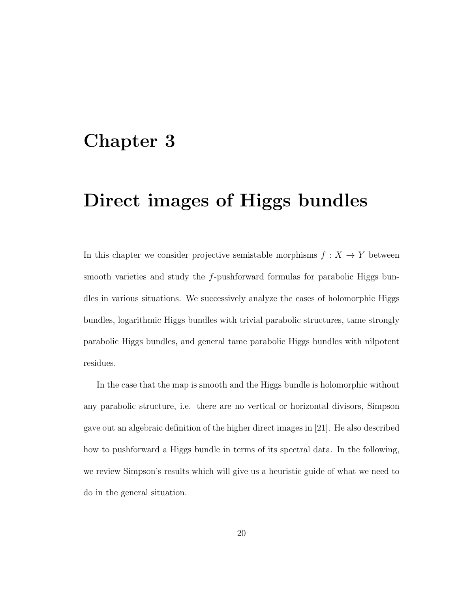### Chapter 3

# Direct images of Higgs bundles

In this chapter we consider projective semistable morphisms  $f: X \rightarrow Y$  between smooth varieties and study the f-pushforward formulas for parabolic Higgs bundles in various situations. We successively analyze the cases of holomorphic Higgs bundles, logarithmic Higgs bundles with trivial parabolic structures, tame strongly parabolic Higgs bundles, and general tame parabolic Higgs bundles with nilpotent residues.

In the case that the map is smooth and the Higgs bundle is holomorphic without any parabolic structure, i.e. there are no vertical or horizontal divisors, Simpson gave out an algebraic definition of the higher direct images in [21]. He also described how to pushforward a Higgs bundle in terms of its spectral data. In the following, we review Simpson's results which will give us a heuristic guide of what we need to do in the general situation.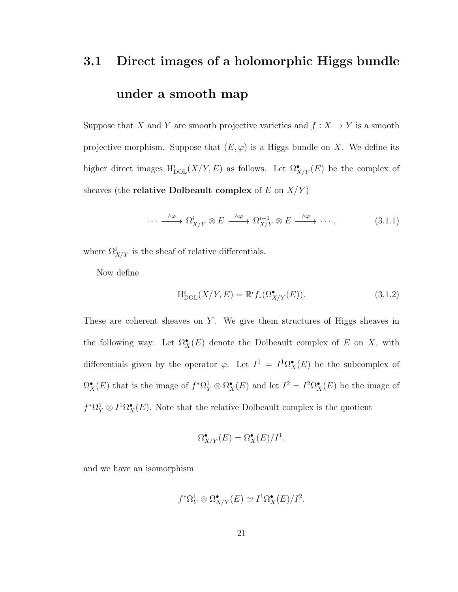# 3.1 Direct images of a holomorphic Higgs bundle under a smooth map

Suppose that X and Y are smooth projective varieties and  $f: X \to Y$  is a smooth projective morphism. Suppose that  $(E, \varphi)$  is a Higgs bundle on X. We define its higher direct images  $H_{\text{DOL}}^{i}(X/Y, E)$  as follows. Let  $\Omega_{X/Y}^{\bullet}(E)$  be the complex of sheaves (the **relative Dolbeault complex** of E on  $X/Y$ )

$$
\cdots \xrightarrow{\wedge \varphi} \Omega^i_{X/Y} \otimes E \xrightarrow{\wedge \varphi} \Omega^{i+1}_{X/Y} \otimes E \xrightarrow{\wedge \varphi} \cdots,
$$
 (3.1.1)

where  $\Omega^i_{X/Y}$  is the sheaf of relative differentials.

Now define

$$
H_{\text{DOL}}^i(X/Y, E) = \mathbb{R}^i f_*(\Omega_{X/Y}^\bullet(E)).\tag{3.1.2}
$$

These are coherent sheaves on  $Y$ . We give them structures of Higgs sheaves in the following way. Let  $\Omega_X^{\bullet}(E)$  denote the Dolbeault complex of E on X, with differentials given by the operator  $\varphi$ . Let  $I^1 = I^1 \Omega^{\bullet}_X(E)$  be the subcomplex of  $\Omega_X^{\bullet}(E)$  that is the image of  $f^*\Omega_Y^1 \otimes \Omega_X^{\bullet}(E)$  and let  $I^2 = I^2\Omega_X^{\bullet}(E)$  be the image of  $f^* \Omega_Y^1 \otimes I^1 \Omega_X^{\bullet}(E)$ . Note that the relative Dolbeault complex is the quotient

$$
\Omega^{\bullet}_{X/Y}(E) = \Omega^{\bullet}_X(E)/I^1,
$$

and we have an isomorphism

$$
f^*\Omega^1_Y \otimes \Omega^\bullet_{X/Y}(E) \simeq I^1\Omega^\bullet_X(E)/I^2.
$$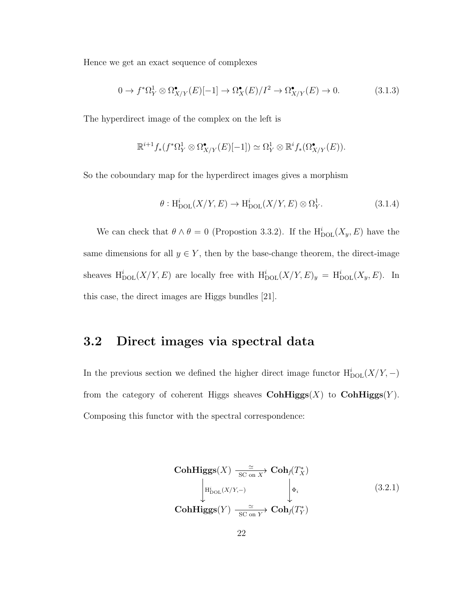Hence we get an exact sequence of complexes

$$
0 \to f^* \Omega^1_Y \otimes \Omega^\bullet_{X/Y}(E)[-1] \to \Omega^\bullet_X(E)/I^2 \to \Omega^\bullet_{X/Y}(E) \to 0. \tag{3.1.3}
$$

The hyperdirect image of the complex on the left is

$$
\mathbb{R}^{i+1} f_*(f^*\Omega^1_Y \otimes \Omega^\bullet_{X/Y}(E)[-1]) \simeq \Omega^1_Y \otimes \mathbb{R}^i f_*(\Omega^\bullet_{X/Y}(E)).
$$

So the coboundary map for the hyperdirect images gives a morphism

$$
\theta: \mathrm{H}^i_{\mathrm{DOL}}(X/Y, E) \to \mathrm{H}^i_{\mathrm{DOL}}(X/Y, E) \otimes \Omega^1_Y. \tag{3.1.4}
$$

We can check that  $\theta \wedge \theta = 0$  (Propostion 3.3.2). If the  $H_{\text{DOL}}^i(X_y, E)$  have the same dimensions for all  $y \in Y$ , then by the base-change theorem, the direct-image sheaves  $H_{\text{DOL}}^i(X/Y, E)$  are locally free with  $H_{\text{DOL}}^i(X/Y, E)_y = H_{\text{DOL}}^i(X_y, E)$ . In this case, the direct images are Higgs bundles [21].

#### 3.2 Direct images via spectral data

In the previous section we defined the higher direct image functor  $\mathrm{H}^i_{\mathrm{DOL}}(X/Y,-)$ from the category of coherent Higgs sheaves  $\text{CohHiggs}(X)$  to  $\text{CohHiggs}(Y)$ . Composing this functor with the spectral correspondence:

CohHiggs(X) 
$$
\xrightarrow[\text{SC on } X]{\simeq} \text{Coh}_{f}(T_{X}^{*})
$$
  
\n
$$
\downarrow^{\text{H}_{\text{DOL}}^{i}(X/Y,-)} \qquad \qquad \downarrow^{\Phi_{i}} \qquad (3.2.1)
$$
\nCohHiggs(Y)  $\xrightarrow[\text{SC on } Y]{\simeq} \text{Coh}_{f}(T_{Y}^{*})$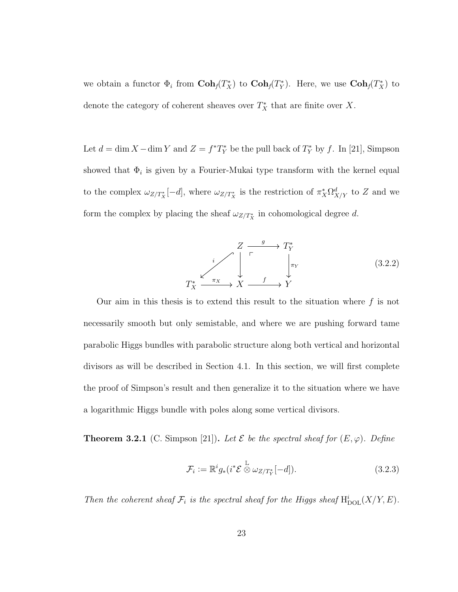we obtain a functor  $\Phi_i$  from  $\text{Coh}_f(T_X^*)$  to  $\text{Coh}_f(T_Y^*)$ . Here, we use  $\text{Coh}_f(T_X^*)$  to denote the category of coherent sheaves over  $T_X^*$  that are finite over X.

Let  $d = \dim X - \dim Y$  and  $Z = f^*T_Y^*$  be the pull back of  $T_Y^*$  by f. In [21], Simpson showed that  $\Phi_i$  is given by a Fourier-Mukai type transform with the kernel equal to the complex  $\omega_{Z/T_X^*}[-d]$ , where  $\omega_{Z/T_X^*}$  is the restriction of  $\pi_X^* \Omega_{X/Y}^d$  to Z and we form the complex by placing the sheaf  $\omega_{Z/T_X^*}$  in cohomological degree d.

$$
Z \xrightarrow{\qquad} T_Y^*
$$
\n
$$
T_X^* \xrightarrow{\pi_X} X \xrightarrow{f} Y
$$
\n
$$
(3.2.2)
$$

Our aim in this thesis is to extend this result to the situation where  $f$  is not necessarily smooth but only semistable, and where we are pushing forward tame parabolic Higgs bundles with parabolic structure along both vertical and horizontal divisors as will be described in Section 4.1. In this section, we will first complete the proof of Simpson's result and then generalize it to the situation where we have a logarithmic Higgs bundle with poles along some vertical divisors.

**Theorem 3.2.1** (C. Simpson [21]). Let  $\mathcal{E}$  be the spectral sheaf for  $(E, \varphi)$ . Define

$$
\mathcal{F}_i := \mathbb{R}^i g_*(i^* \mathcal{E} \overset{\mathbb{L}}{\otimes} \omega_{Z/T_Y^*}[-d]). \tag{3.2.3}
$$

Then the coherent sheaf  $\mathcal{F}_i$  is the spectral sheaf for the Higgs sheaf  $\mathrm{H}^i_{\mathrm{DOL}}(X/Y, E)$ .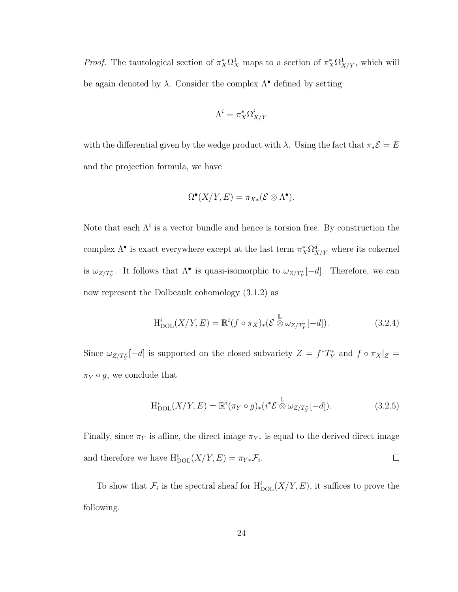*Proof.* The tautological section of  $\pi_X^*\Omega_X^1$  maps to a section of  $\pi_X^*\Omega_{X/Y}^1$ , which will be again denoted by  $\lambda$ . Consider the complex  $\Lambda^{\bullet}$  defined by setting

$$
\Lambda^i = \pi_X^* \Omega^i_{X/Y}
$$

with the differential given by the wedge product with  $\lambda$ . Using the fact that  $\pi_*\mathcal{E} = E$ and the projection formula, we have

$$
\Omega^{\bullet}(X/Y, E) = \pi_{X*}(\mathcal{E} \otimes \Lambda^{\bullet}).
$$

Note that each  $\Lambda^i$  is a vector bundle and hence is torsion free. By construction the complex  $\Lambda^{\bullet}$  is exact everywhere except at the last term  $\pi_X^*\Omega^d_{X/Y}$  where its cokernel is  $\omega_{Z/T^*_Y}$ . It follows that  $\Lambda^{\bullet}$  is quasi-isomorphic to  $\omega_{Z/T^*_Y}[-d]$ . Therefore, we can now represent the Dolbeault cohomology (3.1.2) as

$$
H_{\text{DOL}}^{i}(X/Y, E) = \mathbb{R}^{i} (f \circ \pi_X)_{*} (\mathcal{E} \overset{\mathbb{L}}{\otimes} \omega_{Z/T_Y^*}[-d]). \tag{3.2.4}
$$

Since  $\omega_{Z/T^*_Y}[-d]$  is supported on the closed subvariety  $Z = f^*T^*_Y$  and  $f \circ \pi_X|_Z =$  $\pi_Y \circ g$ , we conclude that

$$
H_{\text{DOL}}^{i}(X/Y, E) = \mathbb{R}^{i}(\pi_Y \circ g)_{*}(i^{*}\mathcal{E} \overset{\mathbb{L}}{\otimes} \omega_{Z/T_{Y}^{*}}[-d]). \qquad (3.2.5)
$$

Finally, since  $\pi_Y$  is affine, the direct image  $\pi_{Y*}$  is equal to the derived direct image and therefore we have  $H_{\text{DOL}}^i(X/Y, E) = \pi_{Y*} \mathcal{F}_i$ .  $\Box$ 

To show that  $\mathcal{F}_i$  is the spectral sheaf for  $\mathrm{H}^i_{\mathrm{DOL}}(X/Y, E)$ , it suffices to prove the following.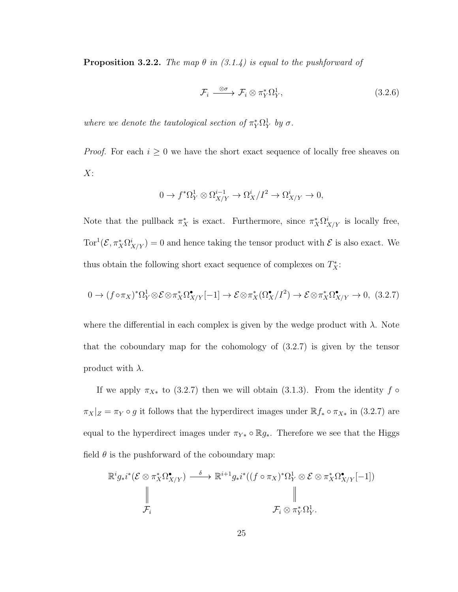**Proposition 3.2.2.** The map  $\theta$  in (3.1.4) is equal to the pushforward of

$$
\mathcal{F}_i \xrightarrow{\otimes \sigma} \mathcal{F}_i \otimes \pi_Y^* \Omega_Y^1, \tag{3.2.6}
$$

where we denote the tautological section of  $\pi_Y^*\Omega_Y^1$  by  $\sigma$ .

*Proof.* For each  $i \geq 0$  we have the short exact sequence of locally free sheaves on  $X$ :

$$
0 \to f^* \Omega^1_Y \otimes \Omega^{i-1}_{X/Y} \to \Omega^i_X/I^2 \to \Omega^i_{X/Y} \to 0,
$$

Note that the pullback  $\pi_X^*$  is exact. Furthermore, since  $\pi_X^* \Omega^i_{X/Y}$  is locally free,  $Tor^1(\mathcal{E}, \pi_X^*\Omega^i_{X/Y})=0$  and hence taking the tensor product with  $\mathcal E$  is also exact. We thus obtain the following short exact sequence of complexes on  $T_X^*$ :

$$
0 \to (f \circ \pi_X)^* \Omega^1_Y \otimes \mathcal{E} \otimes \pi_X^* \Omega^{\bullet}_{X/Y}[-1] \to \mathcal{E} \otimes \pi_X^* (\Omega^{\bullet}_X / I^2) \to \mathcal{E} \otimes \pi_X^* \Omega^{\bullet}_{X/Y} \to 0, (3.2.7)
$$

where the differential in each complex is given by the wedge product with  $\lambda$ . Note that the coboundary map for the cohomology of (3.2.7) is given by the tensor product with  $\lambda$ .

If we apply  $\pi_{X*}$  to (3.2.7) then we will obtain (3.1.3). From the identity  $f \circ$  $\pi_X|_Z = \pi_Y \circ g$  it follows that the hyperdirect images under  $\mathbb{R} f_* \circ \pi_{X*}$  in (3.2.7) are equal to the hyperdirect images under  $\pi_{Y*} \circ \mathbb{R}g_*$ . Therefore we see that the Higgs field  $\theta$  is the pushforward of the coboundary map:

$$
\mathbb{R}^{i} g_{*} i^{*} (\mathcal{E} \otimes \pi_{X}^{*} \Omega_{X/Y}^{\bullet}) \xrightarrow{\delta} \mathbb{R}^{i+1} g_{*} i^{*} ((f \circ \pi_{X})^{*} \Omega_{Y}^{1} \otimes \mathcal{E} \otimes \pi_{X}^{*} \Omega_{X/Y}^{\bullet}[-1])
$$
\n
$$
\parallel \qquad \qquad \parallel
$$
\n
$$
\mathcal{F}_{i} \otimes \pi_{Y}^{*} \Omega_{Y}^{1}.
$$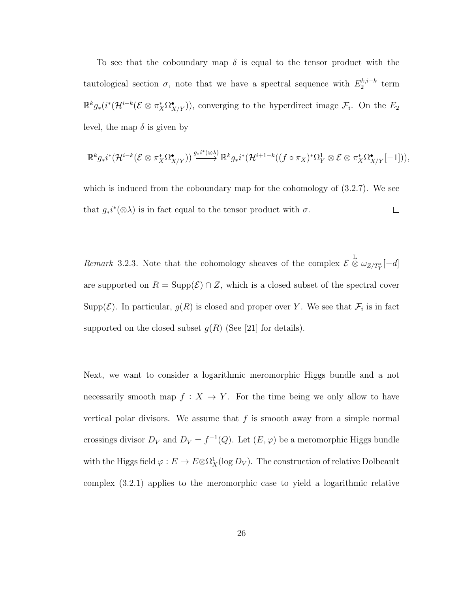To see that the coboundary map  $\delta$  is equal to the tensor product with the tautological section  $\sigma$ , note that we have a spectral sequence with  $E_2^{k,i-k}$  $x_2^{k,t-k}$  term  $\mathbb{R}^k g_*(i^*(\mathcal{H}^{i-k}(\mathcal{E} \otimes \pi_X^*\Omega^{\bullet}_{X/Y})),$  converging to the hyperdirect image  $\mathcal{F}_i$ . On the  $E_2$ level, the map  $\delta$  is given by

$$
\mathbb{R}^k g_* i^* (\mathcal{H}^{i-k} (\mathcal{E} \otimes \pi_X^* \Omega_{X/Y}^{\bullet})) \stackrel{g_* i^* (\otimes \lambda)}{\longrightarrow} \mathbb{R}^k g_* i^* (\mathcal{H}^{i+1-k} ((f \circ \pi_X)^* \Omega_Y^1 \otimes \mathcal{E} \otimes \pi_X^* \Omega_{X/Y}^{\bullet}[-1])),
$$

which is induced from the coboundary map for the cohomology of (3.2.7). We see that  $g_*i^*(\otimes \lambda)$  is in fact equal to the tensor product with  $\sigma$ .  $\Box$ 

Remark 3.2.3. Note that the cohomology sheaves of the complex  $\mathcal{E} \overset{\mathbb{L}}{\otimes} \omega_{Z/T^*_Y}[-d]$ are supported on  $R = \text{Supp}(\mathcal{E}) \cap Z$ , which is a closed subset of the spectral cover Supp $(\mathcal{E})$ . In particular,  $g(R)$  is closed and proper over Y. We see that  $\mathcal{F}_i$  is in fact supported on the closed subset  $g(R)$  (See [21] for details).

Next, we want to consider a logarithmic meromorphic Higgs bundle and a not necessarily smooth map  $f : X \to Y$ . For the time being we only allow to have vertical polar divisors. We assume that  $f$  is smooth away from a simple normal crossings divisor  $D_V$  and  $D_V = f^{-1}(Q)$ . Let  $(E, \varphi)$  be a meromorphic Higgs bundle with the Higgs field  $\varphi: E \to E \otimes \Omega^1_X(\log D_V)$ . The construction of relative Dolbeault complex (3.2.1) applies to the meromorphic case to yield a logarithmic relative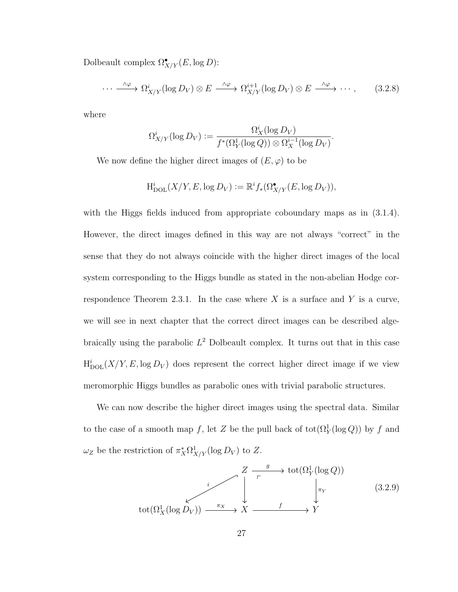Dolbeault complex  $\Omega^\bullet_{X/Y}(E, \log D)$ :

$$
\cdots \xrightarrow{\wedge \varphi} \Omega^i_{X/Y}(\log D_V) \otimes E \xrightarrow{\wedge \varphi} \Omega^{i+1}_{X/Y}(\log D_V) \otimes E \xrightarrow{\wedge \varphi} \cdots, \qquad (3.2.8)
$$

where

$$
\Omega^i_{X/Y}(\log D_V) := \frac{\Omega^i_X(\log D_V)}{f^*(\Omega^1_Y(\log Q)) \otimes \Omega^{i-1}_X(\log D_V)}.
$$

We now define the higher direct images of  $(E, \varphi)$  to be

$$
H_{\mathrm{DOL}}^i(X/Y, E, \log D_V) := \mathbb{R}^i f_*(\Omega_{X/Y}^{\bullet}(E, \log D_V)),
$$

with the Higgs fields induced from appropriate coboundary maps as in  $(3.1.4)$ . However, the direct images defined in this way are not always "correct" in the sense that they do not always coincide with the higher direct images of the local system corresponding to the Higgs bundle as stated in the non-abelian Hodge correspondence Theorem 2.3.1. In the case where  $X$  is a surface and  $Y$  is a curve, we will see in next chapter that the correct direct images can be described algebraically using the parabolic  $L^2$  Dolbeault complex. It turns out that in this case  $H_{\text{DOL}}^{i}(X/Y, E, \log D_V)$  does represent the correct higher direct image if we view meromorphic Higgs bundles as parabolic ones with trivial parabolic structures.

We can now describe the higher direct images using the spectral data. Similar to the case of a smooth map f, let Z be the pull back of  $\text{tot}(\Omega_Y^1(\log Q))$  by f and  $\omega_Z$  be the restriction of  $\pi_X^*\Omega^1_{X/Y}(\log D_V)$  to Z.

$$
\begin{array}{ccc}\n & Z \xrightarrow{g} & \text{tot}(\Omega_Y^1(\log Q)) \\
\downarrow^i & \downarrow^{\pi_Y} & \downarrow^{\pi_Y} \\
 & \downarrow^{\pi_Y} & \downarrow^{\pi_Y} \\
 & \text{tot}(\Omega_X^1(\log D_V)) \xrightarrow{\pi_X} X \xrightarrow{f} & Y\n\end{array} \tag{3.2.9}
$$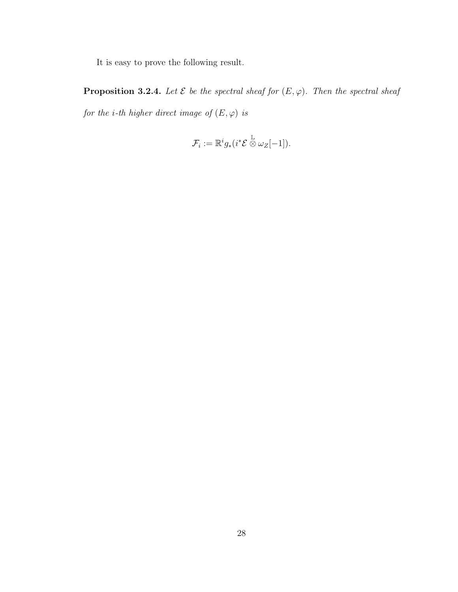It is easy to prove the following result.

**Proposition 3.2.4.** Let  $\mathcal E$  be the spectral sheaf for  $(E, \varphi)$ . Then the spectral sheaf for the i-th higher direct image of  $(E,\varphi)$  is

$$
\mathcal{F}_i := \mathbb{R}^i g_* (i^* \mathcal{E} \overset{\mathbb{L}}{\otimes} \omega_Z[-1]).
$$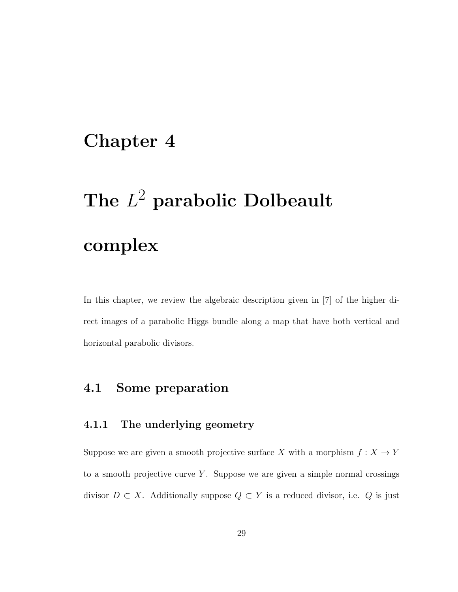### Chapter 4

# The  $L^2$  parabolic Dolbeault complex

In this chapter, we review the algebraic description given in [7] of the higher direct images of a parabolic Higgs bundle along a map that have both vertical and horizontal parabolic divisors.

### 4.1 Some preparation

#### 4.1.1 The underlying geometry

Suppose we are given a smooth projective surface  $X$  with a morphism  $f: X \rightarrow Y$ to a smooth projective curve  $Y$ . Suppose we are given a simple normal crossings divisor  $D \subset X$ . Additionally suppose  $Q \subset Y$  is a reduced divisor, i.e. Q is just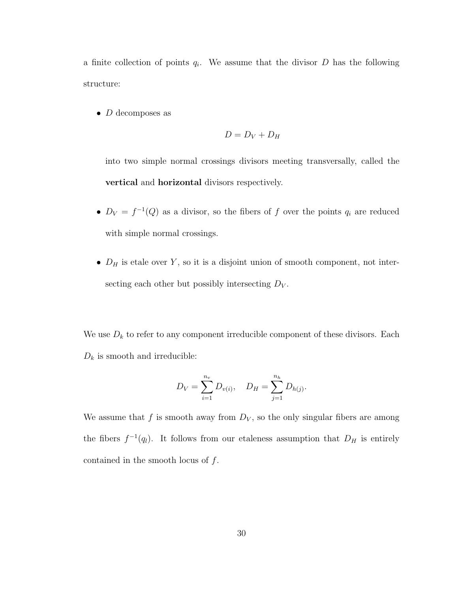a finite collection of points  $q_i$ . We assume that the divisor  $D$  has the following structure:

•  $D$  decomposes as

$$
D=D_V+D_H
$$

into two simple normal crossings divisors meeting transversally, called the vertical and horizontal divisors respectively.

- $D_V = f^{-1}(Q)$  as a divisor, so the fibers of f over the points  $q_i$  are reduced with simple normal crossings.
- $D_H$  is etale over Y, so it is a disjoint union of smooth component, not intersecting each other but possibly intersecting  $D_V$ .

We use  $D_k$  to refer to any component irreducible component of these divisors. Each  $D_k$  is smooth and irreducible:

$$
D_V = \sum_{i=1}^{n_v} D_{v(i)}, \quad D_H = \sum_{j=1}^{n_h} D_{h(j)}.
$$

We assume that f is smooth away from  $D_V$ , so the only singular fibers are among the fibers  $f^{-1}(q_l)$ . It follows from our etaleness assumption that  $D_H$  is entirely contained in the smooth locus of  $f$ .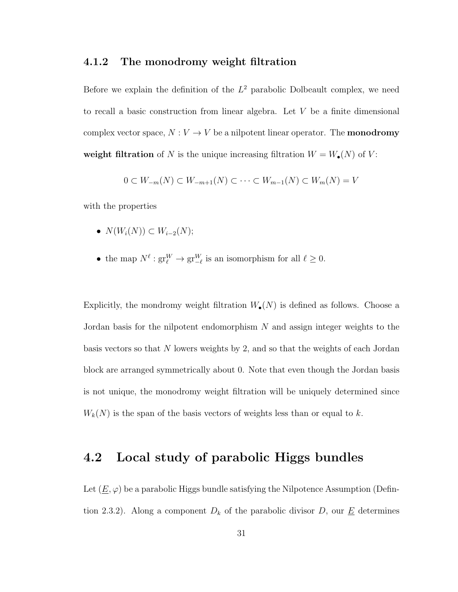#### 4.1.2 The monodromy weight filtration

Before we explain the definition of the  $L^2$  parabolic Dolbeault complex, we need to recall a basic construction from linear algebra. Let V be a finite dimensional complex vector space,  $N:V\rightarrow V$  be a nilpotent linear operator. The  $\mathbf{monodromy}$ weight filtration of N is the unique increasing filtration  $W = W_{\bullet}(N)$  of V:

$$
0 \subset W_{-m}(N) \subset W_{-m+1}(N) \subset \cdots \subset W_{m-1}(N) \subset W_m(N) = V
$$

with the properties

- $N(W_i(N)) \subset W_{i-2}(N);$
- the map  $N^{\ell}: gr_{\ell}^{W} \to gr_{-\ell}^{W}$  is an isomorphism for all  $\ell \geq 0$ .

Explicitly, the mondromy weight filtration  $W_{\bullet}(N)$  is defined as follows. Choose a Jordan basis for the nilpotent endomorphism N and assign integer weights to the basis vectors so that N lowers weights by 2, and so that the weights of each Jordan block are arranged symmetrically about 0. Note that even though the Jordan basis is not unique, the monodromy weight filtration will be uniquely determined since  $W_k(N)$  is the span of the basis vectors of weights less than or equal to k.

### 4.2 Local study of parabolic Higgs bundles

Let  $(\underline{E}, \varphi)$  be a parabolic Higgs bundle satisfying the Nilpotence Assumption (Defintion 2.3.2). Along a component  $D_k$  of the parabolic divisor D, our  $\underline{E}$  determines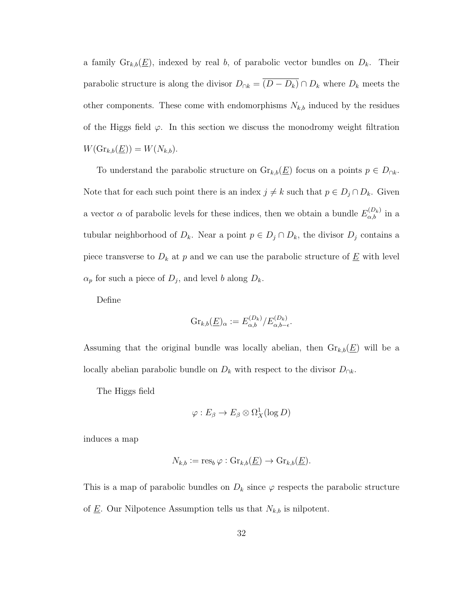a family  $\mathrm{Gr}_{k,b}(\underline{E})$ , indexed by real b, of parabolic vector bundles on  $D_k$ . Their parabolic structure is along the divisor  $D_{\cap k} = \overline{(D - D_k)} \cap D_k$  where  $D_k$  meets the other components. These come with endomorphisms  $N_{k,b}$  induced by the residues of the Higgs field  $\varphi$ . In this section we discuss the monodromy weight filtration  $W(\mathrm{Gr}_{k,b}(\underline{E})) = W(N_{k,b}).$ 

To understand the parabolic structure on  $\mathrm{Gr}_{k,b}(\underline{E})$  focus on a points  $p \in D_{\cap k}$ . Note that for each such point there is an index  $j \neq k$  such that  $p \in D_j \cap D_k$ . Given a vector  $\alpha$  of parabolic levels for these indices, then we obtain a bundle  $E_{\alpha,b}^{(D_k)}$  in a tubular neighborhood of  $D_k$ . Near a point  $p \in D_j \cap D_k$ , the divisor  $D_j$  contains a piece transverse to  $D_k$  at p and we can use the parabolic structure of  $\underline{E}$  with level  $\alpha_p$  for such a piece of  $D_j$ , and level b along  $D_k$ .

Define

$$
\mathrm{Gr}_{k,b}(\underline{E})_{\alpha} := E_{\alpha,b}^{(D_k)}/E_{\alpha,b-\epsilon}^{(D_k)}.
$$

Assuming that the original bundle was locally abelian, then  $\mathrm{Gr}_{k,b}(\underline{E})$  will be a locally abelian parabolic bundle on  $D_k$  with respect to the divisor  $D_{\cap k}$ .

The Higgs field

$$
\varphi: E_{\beta} \to E_{\beta} \otimes \Omega^1_X(\log D)
$$

induces a map

$$
N_{k,b} := \operatorname{res}_b \varphi : \operatorname{Gr}_{k,b}(\underline{E}) \to \operatorname{Gr}_{k,b}(\underline{E}).
$$

This is a map of parabolic bundles on  $D_k$  since  $\varphi$  respects the parabolic structure of  $\underline{E}$ . Our Nilpotence Assumption tells us that  $N_{k,b}$  is nilpotent.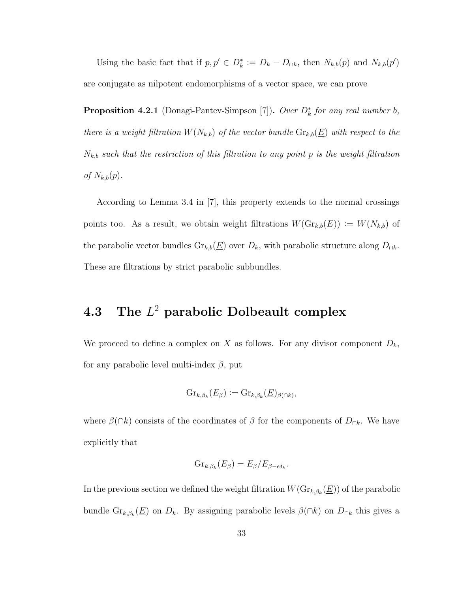Using the basic fact that if  $p, p' \in D_k^* := D_k - D_{\cap k}$ , then  $N_{k,b}(p)$  and  $N_{k,b}(p')$ are conjugate as nilpotent endomorphisms of a vector space, we can prove

**Proposition 4.2.1** (Donagi-Pantev-Simpson [7]). Over  $D_k^*$  for any real number b, there is a weight filtration  $W(N_{k,b})$  of the vector bundle  $\text{Gr}_{k,b}(\underline{E})$  with respect to the  $N_{k,b}$  such that the restriction of this filtration to any point p is the weight filtration of  $N_{k,b}(p)$ .

According to Lemma 3.4 in [7], this property extends to the normal crossings points too. As a result, we obtain weight filtrations  $W(\mathrm{Gr}_{k,b}(\underline{E})) := W(N_{k,b})$  of the parabolic vector bundles  $\text{Gr}_{k,b}(\underline{E})$  over  $D_k$ , with parabolic structure along  $D_{\cap k}$ . These are filtrations by strict parabolic subbundles.

### 4.3 The  $L^2$  parabolic Dolbeault complex

We proceed to define a complex on X as follows. For any divisor component  $D_k$ , for any parabolic level multi-index  $\beta$ , put

$$
\mathrm{Gr}_{k,\beta_k}(E_\beta) := \mathrm{Gr}_{k,\beta_k}(E)_{\beta(\cap k)},
$$

where  $\beta(\cap k)$  consists of the coordinates of  $\beta$  for the components of  $D_{\cap k}$ . We have explicitly that

$$
Gr_{k,\beta_k}(E_{\beta})=E_{\beta}/E_{\beta-\epsilon\delta_k}.
$$

In the previous section we defined the weight filtration  $W(\mathrm{Gr}_{k,\beta_k}(\underline{E}))$  of the parabolic bundle  $\text{Gr}_{k,\beta_k}(\underline{E})$  on  $D_k$ . By assigning parabolic levels  $\beta(\cap k)$  on  $D_{\cap k}$  this gives a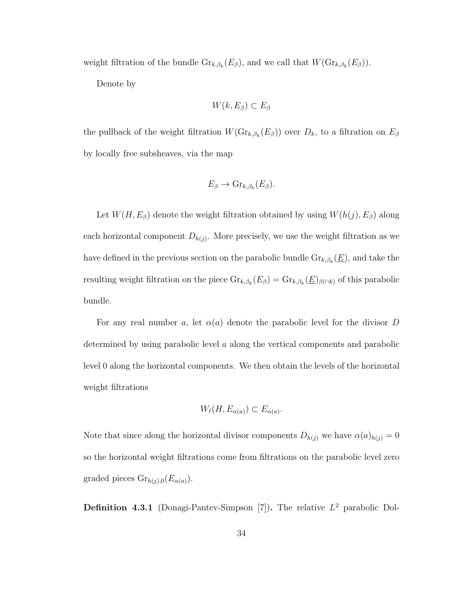weight filtration of the bundle  $\mathrm{Gr}_{k,\beta_k}(E_\beta)$ , and we call that  $W(\mathrm{Gr}_{k,\beta_k}(E_\beta))$ .

Denote by

$$
W(k, E_{\beta}) \subset E_{\beta}
$$

the pullback of the weight filtration  $W(\mathrm{Gr}_{k,\beta_k}(E_\beta))$  over  $D_k$ , to a filtration on  $E_\beta$ by locally free subsheaves, via the map

$$
E_{\beta} \to \mathrm{Gr}_{k,\beta_k}(E_{\beta}).
$$

Let  $W(H, E_\beta)$  denote the weight filtration obtained by using  $W(h(j), E_\beta)$  along each horizontal component  $D_{h(j)}$ . More precisely, we use the weight filtration as we have defined in the previous section on the parabolic bundle  $\mathrm{Gr}_{k,\beta_k}(\underline{E})$ , and take the resulting weight filtration on the piece  $\text{Gr}_{k,\beta_k}(E_\beta) = \text{Gr}_{k,\beta_k}(E)_{\beta(\bigcap k)}$  of this parabolic bundle.

For any real number a, let  $\alpha(a)$  denote the parabolic level for the divisor D determined by using parabolic level a along the vertical components and parabolic level 0 along the horizontal components. We then obtain the levels of the horizontal weight filtrations

$$
W_{\ell}(H, E_{\alpha(a)}) \subset E_{\alpha(a)}
$$
.

Note that since along the horizontal divisor components  $D_{h(j)}$  we have  $\alpha(a)_{h(j)} = 0$ so the horizontal weight filtrations come from filtrations on the parabolic level zero graded pieces  $\text{Gr}_{h(j),0}(E_{\alpha(a)})$ .

**Definition 4.3.1** (Donagi-Pantev-Simpson [7]). The relative  $L^2$  parabolic Dol-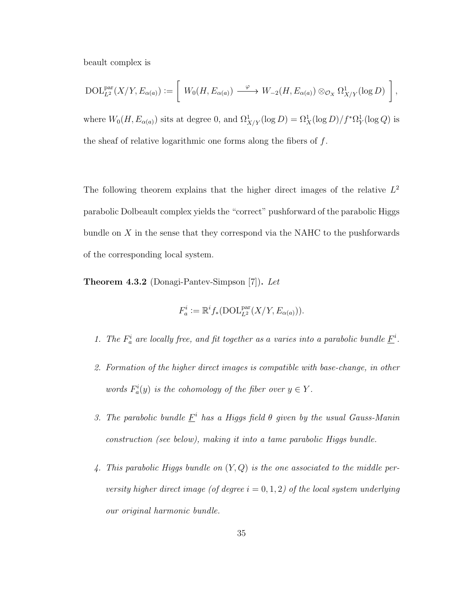beault complex is

$$
\mathrm{DOL}_{L^2}^{\mathrm{par}}(X/Y, E_{\alpha(a)}) := \left[ W_0(H, E_{\alpha(a)}) \xrightarrow{\varphi} W_{-2}(H, E_{\alpha(a)}) \otimes_{\mathcal{O}_X} \Omega^1_{X/Y}(\log D) \right],
$$

where  $W_0(H, E_{\alpha(a)})$  sits at degree 0, and  $\Omega^1_{X/Y}(\log D) = \Omega^1_X(\log D)/f^* \Omega^1_Y(\log Q)$  is the sheaf of relative logarithmic one forms along the fibers of f.

The following theorem explains that the higher direct images of the relative  $L^2$ parabolic Dolbeault complex yields the "correct" pushforward of the parabolic Higgs bundle on  $X$  in the sense that they correspond via the NAHC to the pushforwards of the corresponding local system.

Theorem 4.3.2 (Donagi-Pantev-Simpson [7]). Let

$$
F_a^i := \mathbb{R}^i f_*(\text{DOL}_{L^2}^{\text{par}}(X/Y, E_{\alpha(a)})).
$$

- 1. The  $F_a^i$  are locally free, and fit together as a varies into a parabolic bundle  $\underline{F}^i$ .
- 2. Formation of the higher direct images is compatible with base-change, in other words  $F_a^i(y)$  is the cohomology of the fiber over  $y \in Y$ .
- 3. The parabolic bundle  $\underline{F}^i$  has a Higgs field  $\theta$  given by the usual Gauss-Manin construction (see below), making it into a tame parabolic Higgs bundle.
- 4. This parabolic Higgs bundle on  $(Y, Q)$  is the one associated to the middle perversity higher direct image (of degree  $i = 0, 1, 2$ ) of the local system underlying our original harmonic bundle.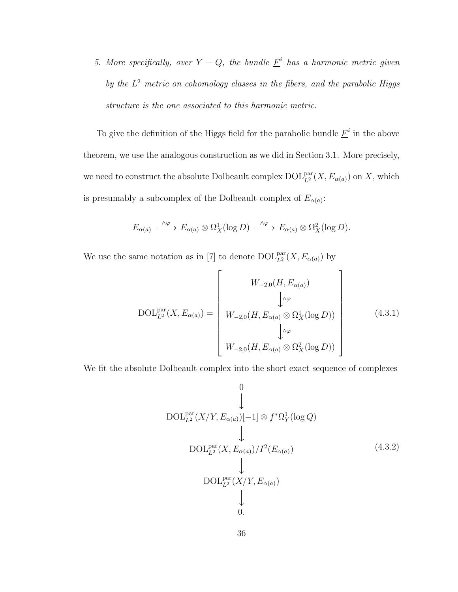5. More specifically, over  $Y - Q$ , the bundle  $\underline{F}^i$  has a harmonic metric given by the  $L^2$  metric on cohomology classes in the fibers, and the parabolic Higgs structure is the one associated to this harmonic metric.

To give the definition of the Higgs field for the parabolic bundle  $\underline{F}^i$  in the above theorem, we use the analogous construction as we did in Section 3.1. More precisely, we need to construct the absolute Dolbeault complex  $\mathrm{DOL}^{\mathrm{par}}_{L^2}(X, E_{\alpha(a)})$  on X, which is presumably a subcomplex of the Dolbeault complex of  $E_{\alpha(a)}$ :

$$
E_{\alpha(a)} \xrightarrow{\wedge \varphi} E_{\alpha(a)} \otimes \Omega_X^1(\log D) \xrightarrow{\wedge \varphi} E_{\alpha(a)} \otimes \Omega_X^2(\log D).
$$

We use the same notation as in [7] to denote  $\mathrm{DOL}_{L^2}^{\mathrm{par}}(X, E_{\alpha(a)})$  by

$$
DOL_{L^{2}}^{\text{par}}(X, E_{\alpha(a)}) = \begin{bmatrix} W_{-2,0}(H, E_{\alpha(a)}) \\ \downarrow^{\wedge\varphi} \\ W_{-2,0}(H, E_{\alpha(a)} \otimes \Omega_{X}^{1}(\log D)) \\ \downarrow^{\wedge\varphi} \\ W_{-2,0}(H, E_{\alpha(a)} \otimes \Omega_{X}^{2}(\log D)) \end{bmatrix}
$$
(4.3.1)

We fit the absolute Dolbeault complex into the short exact sequence of complexes

$$
\begin{array}{c}\n0 \\
\downarrow \\
\text{DOL}_{L^2}^{\text{par}}(X/Y, E_{\alpha(a)})[-1] \otimes f^*\Omega^1_Y(\log Q) \\
\downarrow \\
\text{DOL}_{L^2}^{\text{par}}(X, E_{\alpha(a)})/I^2(E_{\alpha(a)})\n\end{array} \tag{4.3.2}
$$
\n
$$
\begin{array}{c}\n\downarrow \\
\text{DOL}_{L^2}^{\text{par}}(X/Y, E_{\alpha(a)})\n\end{array}
$$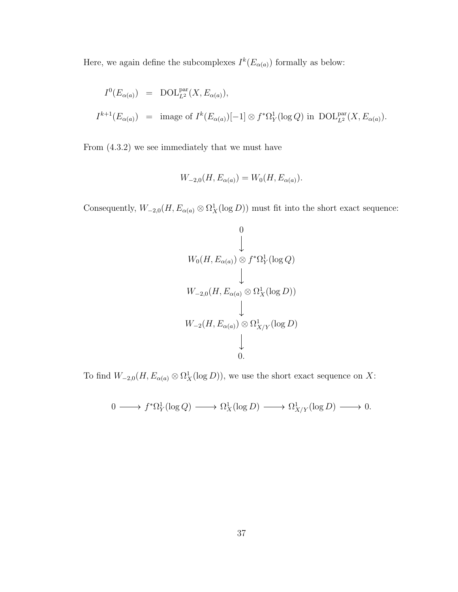Here, we again define the subcomplexes  $I^k(E_{\alpha(a)})$  formally as below:

$$
I^{0}(E_{\alpha(a)}) = \text{DOL}_{L^{2}}^{\text{par}}(X, E_{\alpha(a)}),
$$
  

$$
I^{k+1}(E_{\alpha(a)}) = \text{image of } I^{k}(E_{\alpha(a)})[-1] \otimes f^{*}\Omega_{Y}^{1}(\log Q) \text{ in } \text{DOL}_{L^{2}}^{\text{par}}(X, E_{\alpha(a)}).
$$

From (4.3.2) we see immediately that we must have

$$
W_{-2,0}(H, E_{\alpha(a)}) = W_0(H, E_{\alpha(a)}).
$$

Consequently,  $W_{-2,0}(H, E_{\alpha(a)} \otimes \Omega_X^1(\log D))$  must fit into the short exact sequence:

$$
W_0(H, E_{\alpha(a)}) \otimes f^* \Omega_Y^1(\log Q)
$$
  
\n
$$
\downarrow
$$
  
\n
$$
W_{-2,0}(H, E_{\alpha(a)} \otimes \Omega_X^1(\log D))
$$
  
\n
$$
\downarrow
$$
  
\n
$$
W_{-2}(H, E_{\alpha(a)}) \otimes \Omega_{X/Y}^1(\log D)
$$
  
\n
$$
\downarrow
$$
  
\n0.

To find  $W_{-2,0}(H, E_{\alpha(a)} \otimes \Omega_X^1(\log D))$ , we use the short exact sequence on X:

$$
0 \longrightarrow f^*\Omega^1_Y(\log Q) \longrightarrow \Omega^1_X(\log D) \longrightarrow \Omega^1_{X/Y}(\log D) \longrightarrow 0.
$$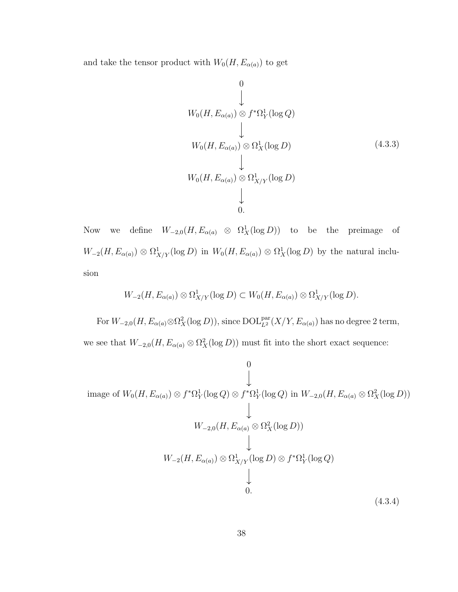and take the tensor product with  $W_0(H,E_{\alpha(a)})$  to get

$$
W_0(H, E_{\alpha(a)}) \otimes f^* \Omega_Y^1(\log Q)
$$
  
\n
$$
\downarrow
$$
  
\n
$$
W_0(H, E_{\alpha(a)}) \otimes \Omega_X^1(\log D)
$$
  
\n
$$
\downarrow
$$
  
\n
$$
W_0(H, E_{\alpha(a)}) \otimes \Omega_{X/Y}^1(\log D)
$$
  
\n
$$
\downarrow
$$
  
\n0. (4.3.3)

Now we define  $W_{-2,0}(H, E_{\alpha(a)} \otimes \Omega^1_X(\log D))$  to be the preimage of  $W_{-2}(H, E_{\alpha(a)}) \otimes \Omega^1_{X/Y}(\log D)$  in  $W_0(H, E_{\alpha(a)}) \otimes \Omega^1_X(\log D)$  by the natural inclusion

$$
W_{-2}(H, E_{\alpha(a)}) \otimes \Omega^1_{X/Y}(\log D) \subset W_0(H, E_{\alpha(a)}) \otimes \Omega^1_{X/Y}(\log D).
$$

For  $W_{-2,0}(H, E_{\alpha(a)} \otimes \Omega_X^2(\log D))$ , since  $\mathrm{DOL}_{L^2}^{\mathrm{par}}(X/Y, E_{\alpha(a)})$  has no degree 2 term, we see that  $W_{-2,0}(H, E_{\alpha(a)} \otimes \Omega_X^2(\log D))$  must fit into the short exact sequence:

$$
\begin{array}{c}\n0 \\
\downarrow \\
\downarrow \\
\text{image of } W_0(H, E_{\alpha(a)}) \otimes f^* \Omega_Y^1(\log Q) \otimes f^* \Omega_Y^1(\log Q) \text{ in } W_{-2,0}(H, E_{\alpha(a)} \otimes \Omega_X^2(\log D)) \\
\downarrow \\
W_{-2,0}(H, E_{\alpha(a)} \otimes \Omega_X^2(\log D)) \\
\downarrow \\
W_{-2}(H, E_{\alpha(a)}) \otimes \Omega_{X/Y}^1(\log D) \otimes f^* \Omega_Y^1(\log Q) \\
\downarrow \\
0.\n\end{array}
$$
\n(4.3.4)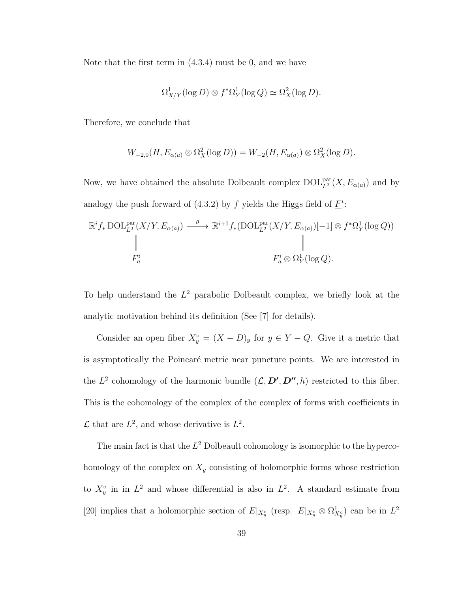Note that the first term in (4.3.4) must be 0, and we have

$$
\Omega^1_{X/Y}(\log D) \otimes f^* \Omega^1_Y(\log Q) \simeq \Omega^2_X(\log D).
$$

Therefore, we conclude that

$$
W_{-2,0}(H, E_{\alpha(a)} \otimes \Omega_X^2(\log D)) = W_{-2}(H, E_{\alpha(a)}) \otimes \Omega_X^2(\log D).
$$

Now, we have obtained the absolute Dolbeault complex  $\mathrm{DOL}_{L^2}^{\mathrm{par}}(X, E_{\alpha(a)})$  and by analogy the push forward of (4.3.2) by f yields the Higgs field of  $\underline{F}^i$ :

$$
\mathbb{R}^{i} f_{*} \text{DOL}_{L^{2}}^{\text{par}}(X/Y, E_{\alpha(a)}) \xrightarrow{\theta} \mathbb{R}^{i+1} f_{*}(\text{DOL}_{L^{2}}^{\text{par}}(X/Y, E_{\alpha(a)})[-1] \otimes f^{*}\Omega_{Y}^{1}(\log Q))
$$
\n
$$
\parallel
$$
\n
$$
F_{a}^{i} \otimes \Omega_{Y}^{1}(\log Q).
$$

To help understand the  $L^2$  parabolic Dolbeault complex, we briefly look at the analytic motivation behind its definition (See [7] for details).

Consider an open fiber  $X_y^{\circ} = (X - D)_y$  for  $y \in Y - Q$ . Give it a metric that is asymptotically the Poincaré metric near puncture points. We are interested in the  $L^2$  cohomology of the harmonic bundle  $(\mathcal{L}, \mathcal{D}', \mathcal{D}'', h)$  restricted to this fiber. This is the cohomology of the complex of the complex of forms with coefficients in  $\mathcal L$  that are  $L^2$ , and whose derivative is  $L^2$ .

The main fact is that the  $L^2$  Dolbeault cohomology is isomorphic to the hypercohomology of the complex on  $X_y$  consisting of holomorphic forms whose restriction to  $X_y^{\circ}$  in in  $L^2$  and whose differential is also in  $L^2$ . A standard estimate from [20] implies that a holomorphic section of  $E|_{X_y^{\circ}}$  (resp.  $E|_{X_y^{\circ}} \otimes \Omega^1_{X_y^{\circ}}$ ) can be in  $L^2$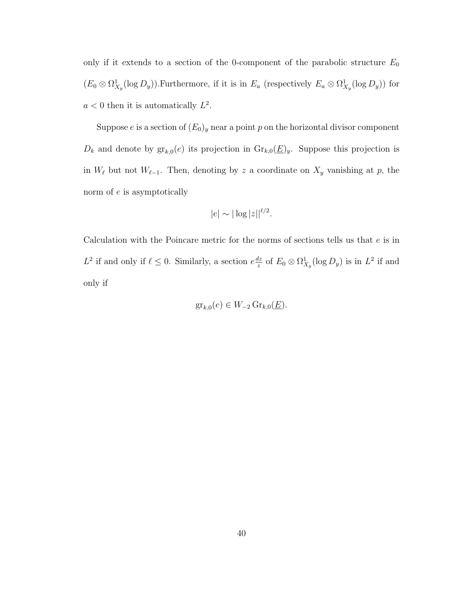only if it extends to a section of the 0-component of the parabolic structure  $E_0$  $(E_0 \otimes \Omega^1_{X_y}(\log D_y))$ . Furthermore, if it is in  $E_a$  (respectively  $E_a \otimes \Omega^1_{X_y}(\log D_y)$ ) for  $a < 0$  then it is automatically  $L^2$ .

Suppose e is a section of  $(E_0)_y$  near a point p on the horizontal divisor component  $D_k$  and denote by  $\operatorname{gr}_{k,0}(e)$  its projection in  $\operatorname{Gr}_{k,0}(\underline{E})_y$ . Suppose this projection is in  $W_{\ell}$  but not  $W_{\ell-1}$ . Then, denoting by z a coordinate on  $X_{y}$  vanishing at p, the norm of e is asymptotically

$$
|e| \sim |\log |z||^{\ell/2}.
$$

Calculation with the Poincare metric for the norms of sections tells us that  $e$  is in  $L^2$  if and only if  $\ell \leq 0$ . Similarly, a section  $e^{\frac{dz}{z}}$  $\frac{dz}{z}$  of  $E_0 \otimes \Omega^1_{X_y}(\log D_y)$  is in  $L^2$  if and only if

$$
\operatorname{gr}_{k,0}(e) \in W_{-2}\operatorname{Gr}_{k,0}(\underline{E}).
$$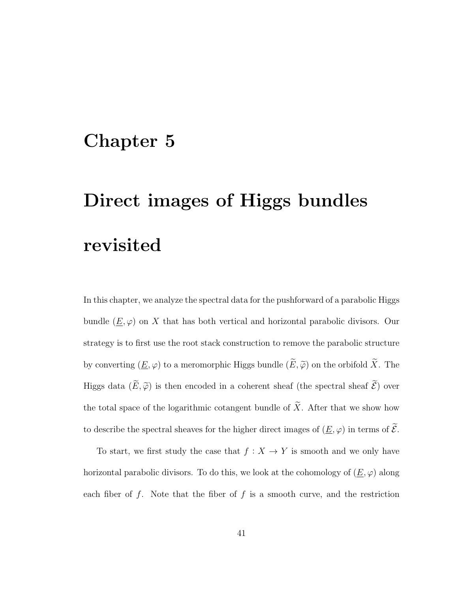### Chapter 5

# Direct images of Higgs bundles revisited

In this chapter, we analyze the spectral data for the pushforward of a parabolic Higgs bundle  $(\underline{E}, \varphi)$  on X that has both vertical and horizontal parabolic divisors. Our strategy is to first use the root stack construction to remove the parabolic structure by converting  $(\underline{E}, \varphi)$  to a meromorphic Higgs bundle  $(\widetilde{E}, \widetilde{\varphi})$  on the orbifold  $\widetilde{X}$ . The Higgs data  $(\widetilde{E}, \widetilde{\varphi})$  is then encoded in a coherent sheaf (the spectral sheaf  $\widetilde{\mathcal{E}}$ ) over the total space of the logarithmic cotangent bundle of  $\widetilde{X}$ . After that we show how to describe the spectral sheaves for the higher direct images of  $(\underline{E}, \varphi)$  in terms of  $\widetilde{\mathcal{E}}$ .

To start, we first study the case that  $f : X \to Y$  is smooth and we only have horizontal parabolic divisors. To do this, we look at the cohomology of  $(\underline{E}, \varphi)$  along each fiber of  $f$ . Note that the fiber of  $f$  is a smooth curve, and the restriction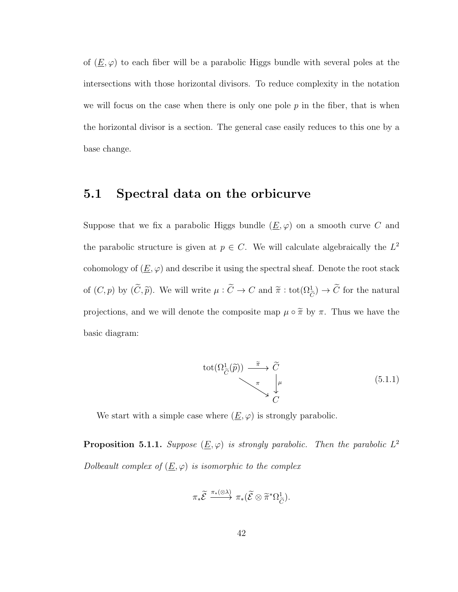of  $(\underline{E}, \varphi)$  to each fiber will be a parabolic Higgs bundle with several poles at the intersections with those horizontal divisors. To reduce complexity in the notation we will focus on the case when there is only one pole  $p$  in the fiber, that is when the horizontal divisor is a section. The general case easily reduces to this one by a base change.

### 5.1 Spectral data on the orbicurve

Suppose that we fix a parabolic Higgs bundle  $(\underline{E}, \varphi)$  on a smooth curve C and the parabolic structure is given at  $p \in C$ . We will calculate algebraically the  $L^2$ cohomology of  $(\underline{E}, \varphi)$  and describe it using the spectral sheaf. Denote the root stack of  $(C, p)$  by  $(\tilde{C}, \tilde{p})$ . We will write  $\mu : \tilde{C} \to C$  and  $\tilde{\pi} : \text{tot}(\Omega_{\tilde{C}}^1) \to \tilde{C}$  for the natural projections, and we will denote the composite map  $\mu \circ \tilde{\pi}$  by  $\pi$ . Thus we have the basic diagram:

$$
\text{tot}(\Omega_{\widetilde{C}}^1(\widetilde{p})) \xrightarrow{\widetilde{\pi}} \widetilde{C}
$$
\n
$$
\downarrow^{\pi} \downarrow^{\mu}
$$
\n
$$
\downarrow^{\pi} C
$$
\n
$$
(5.1.1)
$$

We start with a simple case where  $(\underline{E}, \varphi)$  is strongly parabolic.

**Proposition 5.1.1.** Suppose  $(\underline{E}, \varphi)$  is strongly parabolic. Then the parabolic  $L^2$ Dolbeault complex of  $(\underline{E}, \varphi)$  is isomorphic to the complex

$$
\pi_*\widetilde{\mathcal{E}}\xrightarrow{\pi_*(\otimes\lambda)}\pi_*(\widetilde{\mathcal{E}}\otimes\widetilde{\pi}^*\Omega^1_{\widetilde{C}}).
$$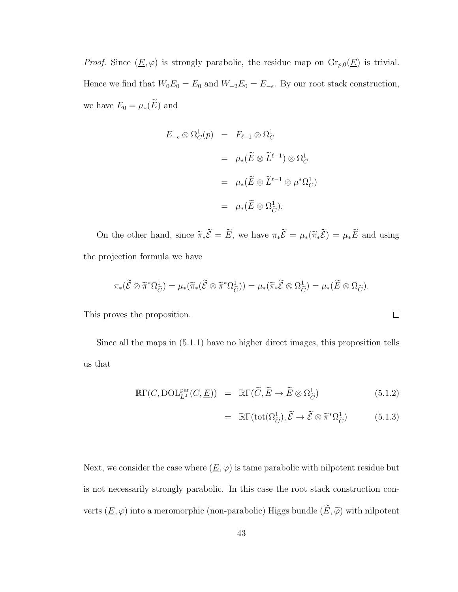*Proof.* Since  $(\underline{E}, \varphi)$  is strongly parabolic, the residue map on  $\mathrm{Gr}_{p,0}(\underline{E})$  is trivial. Hence we find that  $W_0E_0 = E_0$  and  $W_{-2}E_0 = E_{-\epsilon}$ . By our root stack construction, we have  $E_0 = \mu_*(\widetilde{E})$  and

$$
E_{-\epsilon} \otimes \Omega_C^1(p) = F_{\ell-1} \otimes \Omega_C^1
$$
  
=  $\mu_*(\widetilde{E} \otimes \widetilde{L}^{\ell-1}) \otimes \Omega_C^1$   
=  $\mu_*(\widetilde{E} \otimes \widetilde{L}^{\ell-1} \otimes \mu^*\Omega_C^1)$   
=  $\mu_*(\widetilde{E} \otimes \Omega_{\widetilde{C}}^1).$ 

On the other hand, since  $\widetilde{\pi}_*\widetilde{\mathcal{E}} = \widetilde{E}$ , we have  $\pi_*\widetilde{\mathcal{E}} = \mu_* (\widetilde{\pi}_*\widetilde{\mathcal{E}}) = \mu_*\widetilde{E}$  and using the projection formula we have

$$
\pi_*({\widetilde{\mathcal{E}}} \otimes {\widetilde{\pi}}^* \Omega_{\widetilde{C}}^1) = \mu_*({\widetilde{\pi}}_*({\widetilde{\mathcal{E}}} \otimes {\widetilde{\pi}}^* \Omega_{\widetilde{C}}^1)) = \mu_*({\widetilde{\pi}}_*{\widetilde{\mathcal{E}}} \otimes \Omega_{\widetilde{C}}^1) = \mu_*({\widetilde{E}} \otimes \Omega_{\widetilde{C}}^1).
$$

This proves the proposition.

Since all the maps in (5.1.1) have no higher direct images, this proposition tells us that

$$
\mathbb{R}\Gamma(C,\text{DOL}_{L^2}^{\text{par}}(C,\underline{E})) = \mathbb{R}\Gamma(\widetilde{C},\widetilde{E}\to\widetilde{E}\otimes\Omega_{\widetilde{C}}^1)
$$
(5.1.2)

$$
= \mathbb{R}\Gamma(\text{tot}(\Omega_{\widetilde{C}}^{1}), \widetilde{\mathcal{E}} \to \widetilde{\mathcal{E}} \otimes \widetilde{\pi}^{*}\Omega_{\widetilde{C}}^{1}) \tag{5.1.3}
$$

Next, we consider the case where  $(\underline{E}, \varphi)$  is tame parabolic with nilpotent residue but is not necessarily strongly parabolic. In this case the root stack construction converts  $(\underline{E},\varphi)$  into a meromorphic (non-parabolic) Higgs bundle  $(\widetilde{E},\widetilde{\varphi})$  with nilpotent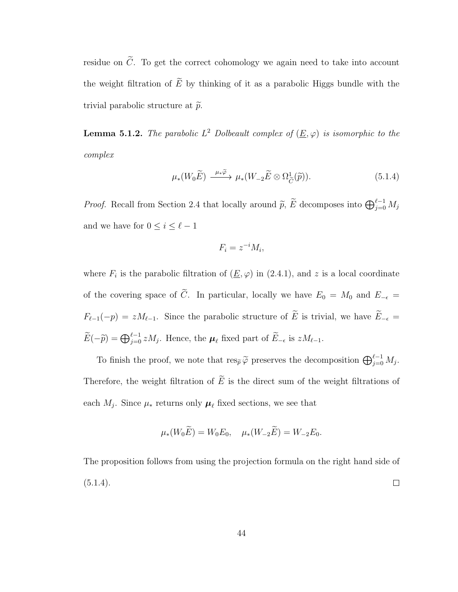residue on  $\tilde{C}$ . To get the correct cohomology we again need to take into account the weight filtration of  $\widetilde{E}$  by thinking of it as a parabolic Higgs bundle with the trivial parabolic structure at  $\tilde{p}$ .

**Lemma 5.1.2.** The parabolic  $L^2$  Dolbeault complex of  $(\underline{E}, \varphi)$  is isomorphic to the complex

$$
\mu_*(W_0 \widetilde{E}) \xrightarrow{\mu_* \widetilde{\varphi}} \mu_*(W_{-2} \widetilde{E} \otimes \Omega_{\widetilde{C}}^1(\widetilde{p})).
$$
\n(5.1.4)

*Proof.* Recall from Section 2.4 that locally around  $\tilde{p}$ ,  $\tilde{E}$  decomposes into  $\bigoplus_{j=0}^{\ell-1} M_j$ and we have for  $0 \leq i \leq \ell - 1$ 

$$
F_i = z^{-i} M_i,
$$

where  $F_i$  is the parabolic filtration of  $(\underline{E}, \varphi)$  in  $(2.4.1)$ , and z is a local coordinate of the covering space of  $\tilde{C}$ . In particular, locally we have  $E_0 = M_0$  and  $E_{-\epsilon}$  $F_{\ell-1}(-p) = zM_{\ell-1}$ . Since the parabolic structure of  $\widetilde{E}$  is trivial, we have  $\widetilde{E}_{-\epsilon}$  $\widetilde{E}(-\widetilde{p}) = \bigoplus_{j=0}^{\ell-1} z M_j$ . Hence, the  $\mu_{\ell}$  fixed part of  $\widetilde{E}_{-\epsilon}$  is  $zM_{\ell-1}$ .

To finish the proof, we note that  $res_{\widetilde{p}} \widetilde{\varphi}$  preserves the decomposition  $\bigoplus_{j=0}^{\ell-1} M_j$ . Therefore, the weight filtration of  $\widetilde{E}$  is the direct sum of the weight filtrations of each  $M_j$ . Since  $\mu_*$  returns only  $\mu_\ell$  fixed sections, we see that

$$
\mu_*(W_0 \tilde{E}) = W_0 E_0, \quad \mu_*(W_{-2} \tilde{E}) = W_{-2} E_0.
$$

The proposition follows from using the projection formula on the right hand side of  $(5.1.4).$  $\Box$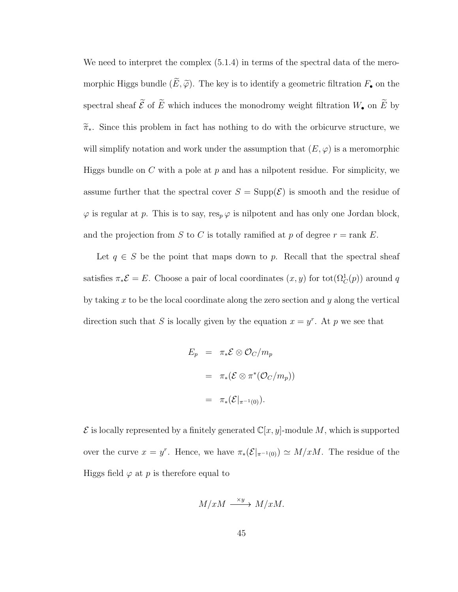We need to interpret the complex  $(5.1.4)$  in terms of the spectral data of the meromorphic Higgs bundle  $(\widetilde{E}, \widetilde{\varphi})$ . The key is to identify a geometric filtration  $F_{\bullet}$  on the spectral sheaf  $\widetilde{\mathcal{E}}$  of  $\widetilde{E}$  which induces the monodromy weight filtration  $W_\bullet$  on  $\widetilde{E}$  by  $\widetilde{\pi}_{*}$ . Since this problem in fact has nothing to do with the orbicurve structure, we will simplify notation and work under the assumption that  $(E, \varphi)$  is a meromorphic Higgs bundle on C with a pole at  $p$  and has a nilpotent residue. For simplicity, we assume further that the spectral cover  $S = \text{Supp}(\mathcal{E})$  is smooth and the residue of  $\varphi$  is regular at p. This is to say, res<sub>p</sub>  $\varphi$  is nilpotent and has only one Jordan block, and the projection from S to C is totally ramified at p of degree  $r = \text{rank } E$ .

Let  $q \in S$  be the point that maps down to p. Recall that the spectral sheaf satisfies  $\pi_*\mathcal{E} = E$ . Choose a pair of local coordinates  $(x, y)$  for  $\text{tot}(\Omega_C^1(p))$  around q by taking x to be the local coordinate along the zero section and y along the vertical direction such that S is locally given by the equation  $x = y^r$ . At p we see that

$$
E_p = \pi_* \mathcal{E} \otimes \mathcal{O}_C / m_p
$$
  
=  $\pi_* (\mathcal{E} \otimes \pi^* (\mathcal{O}_C / m_p))$   
=  $\pi_* (\mathcal{E}|_{\pi^{-1}(0)}).$ 

 $\mathcal E$  is locally represented by a finitely generated  $\mathbb C[x,y]$ -module M, which is supported over the curve  $x = y^r$ . Hence, we have  $\pi_*(\mathcal{E}|_{\pi^{-1}(0)}) \simeq M/xM$ . The residue of the Higgs field  $\varphi$  at p is therefore equal to

$$
M/xM \xrightarrow{\times y} M/xM.
$$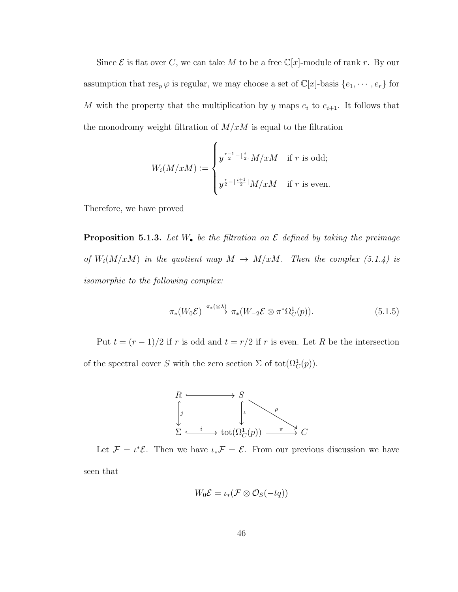Since  $\mathcal E$  is flat over C, we can take M to be a free  $\mathbb C[x]$ -module of rank r. By our assumption that  $res_p \varphi$  is regular, we may choose a set of  $\mathbb{C}[x]$ -basis  $\{e_1, \dots, e_r\}$  for M with the property that the multiplication by y maps  $e_i$  to  $e_{i+1}$ . It follows that the monodromy weight filtration of  $M/xM$  is equal to the filtration

$$
W_i(M/xM) := \begin{cases} y^{\frac{r-1}{2}-\lfloor \frac{i}{2} \rfloor} M/xM & \text{if } r \text{ is odd;} \\ y^{\frac{r}{2}-\lfloor \frac{i+1}{2} \rfloor} M/xM & \text{if } r \text{ is even.} \end{cases}
$$

Therefore, we have proved

**Proposition 5.1.3.** Let  $W_{\bullet}$  be the filtration on  $\mathcal E$  defined by taking the preimage of  $W_i(M/xM)$  in the quotient map  $M \to M/xM$ . Then the complex (5.1.4) is isomorphic to the following complex:

$$
\pi_*(W_0 \mathcal{E}) \xrightarrow{\pi_*(\otimes \lambda)} \pi_*(W_{-2} \mathcal{E} \otimes \pi^* \Omega_C^1(p)). \tag{5.1.5}
$$

Put  $t = (r - 1)/2$  if r is odd and  $t = r/2$  if r is even. Let R be the intersection of the spectral cover S with the zero section  $\Sigma$  of tot $(\Omega_C^1(p))$ .



Let  $\mathcal{F} = \iota^* \mathcal{E}$ . Then we have  $\iota_* \mathcal{F} = \mathcal{E}$ . From our previous discussion we have seen that

$$
W_0\mathcal{E}=\iota_*(\mathcal{F}\otimes\mathcal{O}_S(-tq))
$$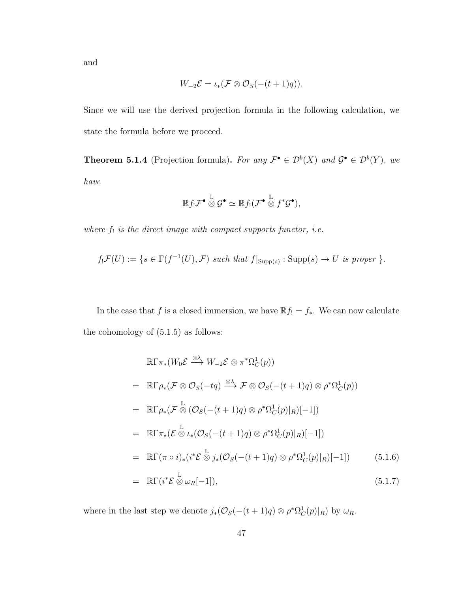and

$$
W_{-2} \mathcal{E} = \iota_*(\mathcal{F} \otimes \mathcal{O}_S(-(t+1)q)).
$$

Since we will use the derived projection formula in the following calculation, we state the formula before we proceed.

**Theorem 5.1.4** (Projection formula). For any  $\mathcal{F}^{\bullet} \in \mathcal{D}^b(X)$  and  $\mathcal{G}^{\bullet} \in \mathcal{D}^b(Y)$ , we have

$$
\mathbb{R} f_! \mathcal{F}^{\bullet} \overset{\mathbb{L}}{\otimes} \mathcal{G}^{\bullet} \simeq \mathbb{R} f_! (\mathcal{F}^{\bullet} \overset{\mathbb{L}}{\otimes} f^* \mathcal{G}^{\bullet}),
$$

where  $f_!$  is the direct image with compact supports functor, i.e.

$$
f_! \mathcal{F}(U) := \{ s \in \Gamma(f^{-1}(U), \mathcal{F}) \text{ such that } f|_{\text{Supp}(s)} : \text{Supp}(s) \to U \text{ is proper } \}.
$$

In the case that f is a closed immersion, we have  $\mathbb{R}f_! = f_*$ . We can now calculate the cohomology of  $(5.1.5)$  as follows:

$$
\mathbb{R}\Gamma\pi_{*}(W_{0}\mathcal{E}\stackrel{\otimes\lambda}{\longrightarrow}W_{-2}\mathcal{E}\otimes\pi^{*}\Omega_{C}^{1}(p))
$$
\n
$$
= \mathbb{R}\Gamma\rho_{*}(\mathcal{F}\otimes\mathcal{O}_{S}(-tq)\stackrel{\otimes\lambda}{\longrightarrow}\mathcal{F}\otimes\mathcal{O}_{S}(-(t+1)q)\otimes\rho^{*}\Omega_{C}^{1}(p))
$$
\n
$$
= \mathbb{R}\Gamma\rho_{*}(\mathcal{F}\stackrel{\mathbb{L}}{\otimes}(\mathcal{O}_{S}(-(t+1)q)\otimes\rho^{*}\Omega_{C}^{1}(p)|_{R})[-1])
$$
\n
$$
= \mathbb{R}\Gamma\pi_{*}(\mathcal{E}\stackrel{\mathbb{L}}{\otimes}\iota_{*}(\mathcal{O}_{S}(-(t+1)q)\otimes\rho^{*}\Omega_{C}^{1}(p)|_{R})[-1])
$$
\n
$$
= \mathbb{R}\Gamma(\pi\circ i)_{*}(i^{*}\mathcal{E}\stackrel{\mathbb{L}}{\otimes}j_{*}(\mathcal{O}_{S}(-(t+1)q)\otimes\rho^{*}\Omega_{C}^{1}(p)|_{R})[-1])
$$
\n
$$
= \mathbb{R}\Gamma(i^{*}\mathcal{E}\stackrel{\mathbb{L}}{\otimes}\omega_{R}[-1]), \qquad (5.1.7)
$$

where in the last step we denote  $j_*(\mathcal{O}_S(-(t+1)q) \otimes \rho^*\Omega_C^1(p)|_R)$  by  $\omega_R$ .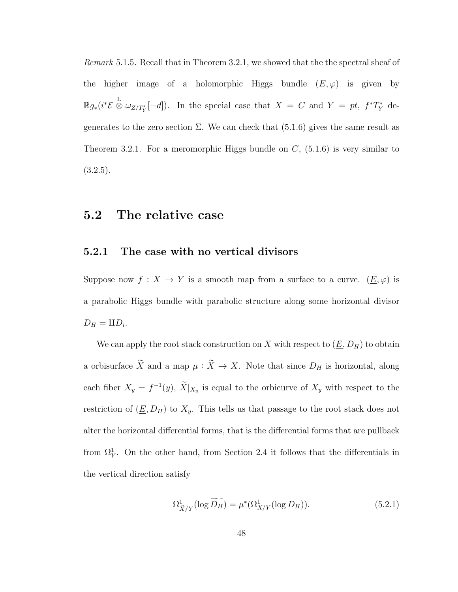Remark 5.1.5. Recall that in Theorem 3.2.1, we showed that the the spectral sheaf of the higher image of a holomorphic Higgs bundle  $(E, \varphi)$  is given by  $\mathbb{R} g_*(i^*\mathcal{E} \overset{\mathbb{L}}{\otimes} \omega_{Z/T^*_Y}[-d])$ . In the special case that  $X = C$  and  $Y = pt$ ,  $f^*T^*_Y$  degenerates to the zero section  $\Sigma$ . We can check that (5.1.6) gives the same result as Theorem 3.2.1. For a meromorphic Higgs bundle on  $C$ ,  $(5.1.6)$  is very similar to  $(3.2.5).$ 

### 5.2 The relative case

#### 5.2.1 The case with no vertical divisors

Suppose now  $f: X \to Y$  is a smooth map from a surface to a curve.  $(\underline{E}, \varphi)$  is a parabolic Higgs bundle with parabolic structure along some horizontal divisor  $D_H = \amalg D_i.$ 

We can apply the root stack construction on X with respect to  $(\underline{E}, D_H)$  to obtain a orbisurface  $\widetilde{X}$  and a map  $\mu : \widetilde{X} \to X$ . Note that since  $D_H$  is horizontal, along each fiber  $X_y = f^{-1}(y)$ ,  $\tilde{X}|_{X_y}$  is equal to the orbicurve of  $X_y$  with respect to the restriction of  $(\underline{E}, D_H)$  to  $X_y$ . This tells us that passage to the root stack does not alter the horizontal differential forms, that is the differential forms that are pullback from  $\Omega_Y^1$ . On the other hand, from Section 2.4 it follows that the differentials in the vertical direction satisfy

$$
\Omega^1_{\widetilde{X}/Y}(\log \widetilde{D_H}) = \mu^*(\Omega^1_{X/Y}(\log D_H)).\tag{5.2.1}
$$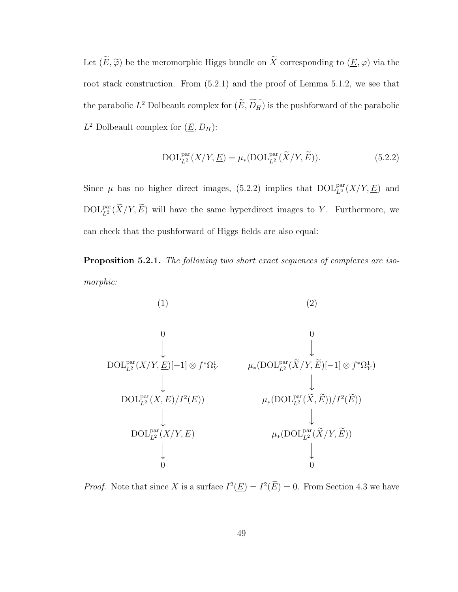Let  $(\widetilde{E},\widetilde{\varphi})$  be the meromorphic Higgs bundle on  $\widetilde{X}$  corresponding to  $(\underline{E},\varphi)$  via the root stack construction. From (5.2.1) and the proof of Lemma 5.1.2, we see that the parabolic  $L^2$  Dolbeault complex for  $(\widetilde{E}, \widetilde{D_H})$  is the pushforward of the parabolic  $L^2$  Dolbeault complex for  $(\underline{E}, D_H)$ :

$$
\text{DOL}_{L^2}^{\text{par}}(X/Y, \underline{E}) = \mu_*(\text{DOL}_{L^2}^{\text{par}}(\widetilde{X}/Y, \widetilde{E})).\tag{5.2.2}
$$

Since  $\mu$  has no higher direct images, (5.2.2) implies that  $DOL_{L^2}^{\text{par}}(X/Y, \underline{E})$  and  $\text{DOL}_{L^2}^{\text{par}}(\widetilde{X}/Y, \widetilde{E})$  will have the same hyperdirect images to Y. Furthermore, we can check that the pushforward of Higgs fields are also equal:

Proposition 5.2.1. The following two short exact sequences of complexes are isomorphic:

(1)  
\n(2)  
\n
$$
\downarrow
$$
\n
$$
DOL_{L^{2}}^{\text{par}}(X/Y, \underline{E})[-1] \otimes f^{\ast}\Omega_{Y}^{1} \qquad \mu_{*}(DOL_{L^{2}}^{\text{par}}(\widetilde{X}/Y, \widetilde{E})[-1] \otimes f^{\ast}\Omega_{Y}^{1})
$$
\n
$$
\downarrow
$$
\n
$$
DOL_{L^{2}}^{\text{par}}(X, \underline{E})/I^{2}(\underline{E})) \qquad \mu_{*}(DOL_{L^{2}}^{\text{par}}(\widetilde{X}, \widetilde{E}))/I^{2}(\widetilde{E}))
$$
\n
$$
\downarrow
$$
\n
$$
DOL_{L^{2}}^{\text{par}}(X/Y, \underline{E}) \qquad \mu_{*}(DOL_{L^{2}}^{\text{par}}(\widetilde{X}/Y, \widetilde{E}))
$$
\n
$$
\downarrow
$$
\n
$$
0
$$

*Proof.* Note that since X is a surface  $I^2(\underline{E}) = I^2(\overline{E}) = 0$ . From Section 4.3 we have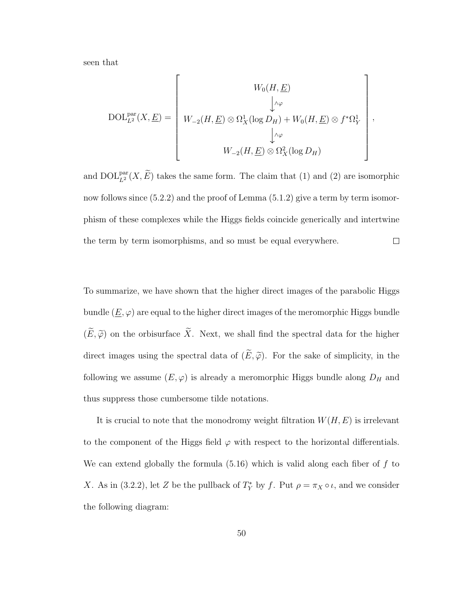seen that

$$
\text{DOL}_{L^2}^{\text{par}}(X, \underline{E}) = \left[\begin{array}{c} W_0(H, \underline{E}) \\ \downarrow \wedge \varphi \\ W_{-2}(H, \underline{E}) \otimes \Omega^1_X(\log D_H) + W_0(H, \underline{E}) \otimes f^* \Omega^1_Y \\ \downarrow \wedge \varphi \\ W_{-2}(H, \underline{E}) \otimes \Omega^2_X(\log D_H) \end{array}\right],
$$

and  $\text{DOL}_{L^2}^{\text{par}}(X,\widetilde{E})$  takes the same form. The claim that (1) and (2) are isomorphic now follows since  $(5.2.2)$  and the proof of Lemma  $(5.1.2)$  give a term by term isomorphism of these complexes while the Higgs fields coincide generically and intertwine the term by term isomorphisms, and so must be equal everywhere.  $\Box$ 

To summarize, we have shown that the higher direct images of the parabolic Higgs bundle  $(\underline{E}, \varphi)$  are equal to the higher direct images of the meromorphic Higgs bundle  $(\widetilde{E}, \widetilde{\varphi})$  on the orbisurface  $\widetilde{X}$ . Next, we shall find the spectral data for the higher direct images using the spectral data of  $(\widetilde{E}, \widetilde{\varphi})$ . For the sake of simplicity, in the following we assume  $(E, \varphi)$  is already a meromorphic Higgs bundle along  $D_H$  and thus suppress those cumbersome tilde notations.

It is crucial to note that the monodromy weight filtration  $W(H, E)$  is irrelevant to the component of the Higgs field  $\varphi$  with respect to the horizontal differentials. We can extend globally the formula  $(5.16)$  which is valid along each fiber of f to X. As in (3.2.2), let Z be the pullback of  $T_Y^*$  by f. Put  $\rho = \pi_X \circ \iota$ , and we consider the following diagram: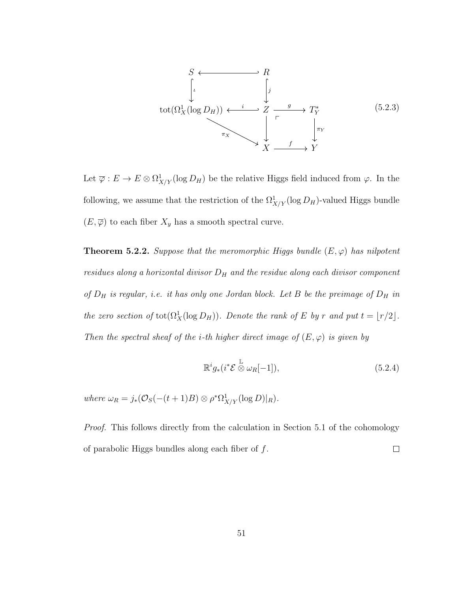

Let  $\overline{\varphi}: E \to E \otimes \Omega^1_{X/Y}(\log D_H)$  be the relative Higgs field induced from  $\varphi$ . In the following, we assume that the restriction of the  $\Omega^1_{X/Y}(\log D_H)$ -valued Higgs bundle  $(E, \overline{\varphi})$  to each fiber  $X_y$  has a smooth spectral curve.

**Theorem 5.2.2.** Suppose that the meromorphic Higgs bundle  $(E, \varphi)$  has nilpotent residues along a horizontal divisor  $D_H$  and the residue along each divisor component of  $D_H$  is regular, i.e. it has only one Jordan block. Let B be the preimage of  $D_H$  in the zero section of  $\text{tot}(\Omega_X^1(\log D_H))$ . Denote the rank of E by r and put  $t = \lfloor r/2 \rfloor$ . Then the spectral sheaf of the *i*-th higher direct image of  $(E, \varphi)$  is given by

$$
\mathbb{R}^i g_*(i^* \mathcal{E} \overset{\mathbb{L}}{\otimes} \omega_R[-1]),\tag{5.2.4}
$$

where  $\omega_R = j_*(\mathcal{O}_S(-(t+1)B) \otimes \rho^*\Omega^1_{X/Y}(\log D)|_R)$ .

Proof. This follows directly from the calculation in Section 5.1 of the cohomology of parabolic Higgs bundles along each fiber of  $f$ .  $\Box$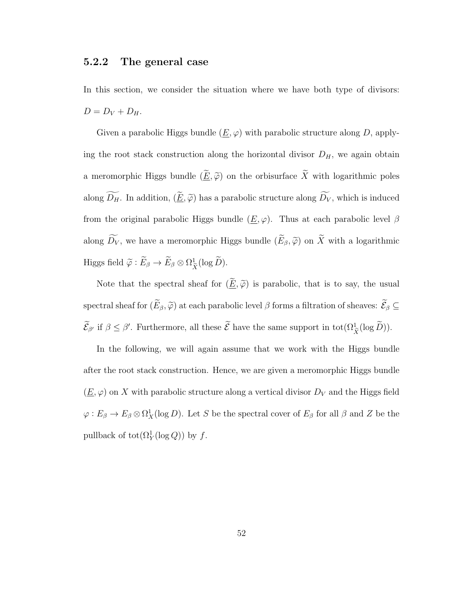#### 5.2.2 The general case

In this section, we consider the situation where we have both type of divisors:  $D = D_V + D_H.$ 

Given a parabolic Higgs bundle  $(\underline{E}, \varphi)$  with parabolic structure along D, applying the root stack construction along the horizontal divisor  $D_H$ , we again obtain a meromorphic Higgs bundle  $(\underline{\widetilde{E}}, \widetilde{\varphi})$  on the orbisurface  $\widetilde{X}$  with logarithmic poles along  $\widetilde{D_H}$ . In addition,  $(\underline{\widetilde{E}}, \widetilde{\varphi})$  has a parabolic structure along  $\widetilde{D_V}$ , which is induced from the original parabolic Higgs bundle  $(\underline{E}, \varphi)$ . Thus at each parabolic level  $\beta$ along  $\widetilde{D_V}$ , we have a meromorphic Higgs bundle  $(\widetilde{E}_{\beta}, \widetilde{\varphi})$  on  $\widetilde{X}$  with a logarithmic Higgs field  $\widetilde{\varphi}: E_{\beta} \to E_{\beta} \otimes \Omega_{\widetilde{\beta}}^1$  $\frac{1}{\tilde{X}}(\log D).$ 

Note that the spectral sheaf for  $(\underline{\widetilde{E}}, \widetilde{\varphi})$  is parabolic, that is to say, the usual spectral sheaf for  $(\widetilde{E}_{\beta}, \widetilde{\varphi})$  at each parabolic level  $\beta$  forms a filtration of sheaves:  $\widetilde{\mathcal{E}}_{\beta} \subseteq$  $\mathcal{E}_{\beta'}$  if  $\beta \leq \beta'$ . Furthermore, all these  $\mathcal{E}$  have the same support in tot $(\Omega^1_{\tilde{X}}(\log \tilde{D}))$ .

In the following, we will again assume that we work with the Higgs bundle after the root stack construction. Hence, we are given a meromorphic Higgs bundle  $(\underline{E}, \varphi)$  on X with parabolic structure along a vertical divisor  $D_V$  and the Higgs field  $\varphi: E_\beta \to E_\beta \otimes \Omega^1_X(\log D)$ . Let S be the spectral cover of  $E_\beta$  for all  $\beta$  and Z be the pullback of  $\text{tot}(\Omega_Y^1(\log Q))$  by f.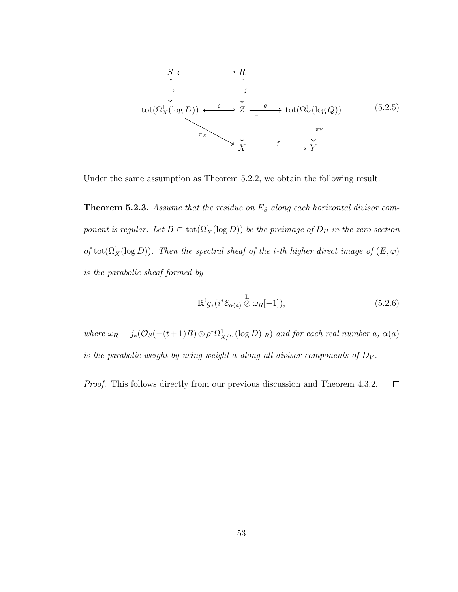

Under the same assumption as Theorem 5.2.2, we obtain the following result.

**Theorem 5.2.3.** Assume that the residue on  $E_\beta$  along each horizontal divisor component is regular. Let  $B \subset \text{tot}(\Omega_X^1(\log D))$  be the preimage of  $D_H$  in the zero section of tot( $\Omega^1_X(\log D)$ ). Then the spectral sheaf of the *i*-th higher direct image of  $(\underline{E}, \varphi)$ is the parabolic sheaf formed by

$$
\mathbb{R}^i g_*(i^* \mathcal{E}_{\alpha(a)} \overset{\mathbb{L}}{\otimes} \omega_R[-1]), \qquad (5.2.6)
$$

where  $\omega_R = j_*(\mathcal{O}_S(-(t+1)B) \otimes \rho^*\Omega^1_{X/Y}(\log D)|_R)$  and for each real number a,  $\alpha(a)$ is the parabolic weight by using weight a along all divisor components of  $D_V$ .

Proof. This follows directly from our previous discussion and Theorem 4.3.2.  $\Box$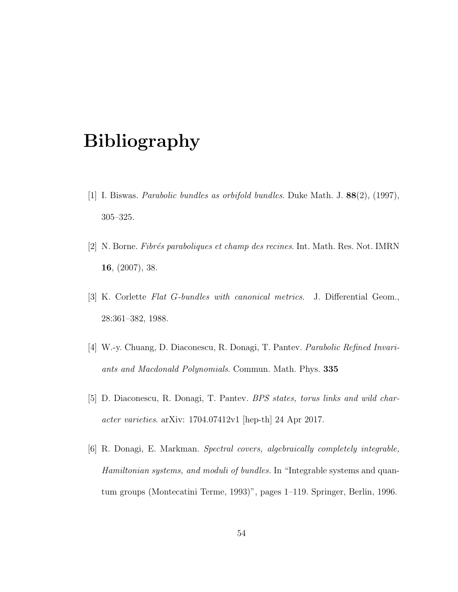# Bibliography

- [1] I. Biswas. Parabolic bundles as orbifold bundles. Duke Math. J. 88(2), (1997), 305–325.
- [2] N. Borne. Fibrés paraboliques et champ des recines. Int. Math. Res. Not. IMRN 16, (2007), 38.
- [3] K. Corlette Flat G-bundles with canonical metrics. J. Differential Geom., 28:361–382, 1988.
- [4] W.-y. Chuang, D. Diaconescu, R. Donagi, T. Pantev. Parabolic Refined Invariants and Macdonald Polynomials. Commun. Math. Phys. 335
- [5] D. Diaconescu, R. Donagi, T. Pantev. BPS states, torus links and wild character varieties. arXiv: 1704.07412v1 [hep-th] 24 Apr 2017.
- [6] R. Donagi, E. Markman. Spectral covers, algebraically completely integrable, Hamiltonian systems, and moduli of bundles. In "Integrable systems and quantum groups (Montecatini Terme, 1993)", pages 1–119. Springer, Berlin, 1996.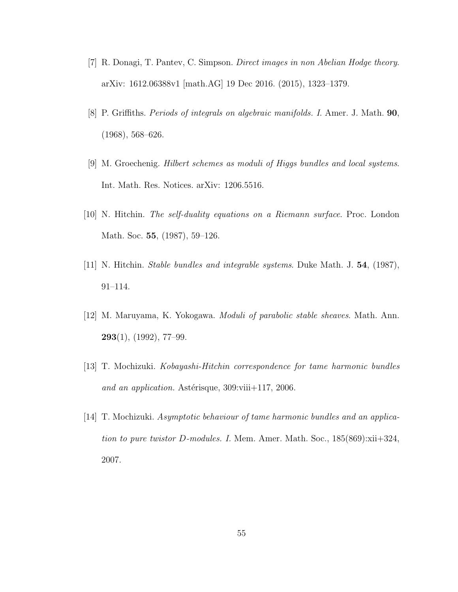- [7] R. Donagi, T. Pantev, C. Simpson. Direct images in non Abelian Hodge theory. arXiv: 1612.06388v1 [math.AG] 19 Dec 2016. (2015), 1323–1379.
- [8] P. Griffiths. Periods of integrals on algebraic manifolds. I. Amer. J. Math. 90, (1968), 568–626.
- [9] M. Groechenig. Hilbert schemes as moduli of Higgs bundles and local systems. Int. Math. Res. Notices. arXiv: 1206.5516.
- [10] N. Hitchin. The self-duality equations on a Riemann surface. Proc. London Math. Soc. 55, (1987), 59–126.
- [11] N. Hitchin. Stable bundles and integrable systems. Duke Math. J. 54, (1987), 91–114.
- [12] M. Maruyama, K. Yokogawa. Moduli of parabolic stable sheaves. Math. Ann.  $293(1)$ ,  $(1992)$ , 77-99.
- [13] T. Mochizuki. Kobayashi-Hitchin correspondence for tame harmonic bundles and an application. Astérisque,  $309$ :viii $+117$ , 2006.
- [14] T. Mochizuki. Asymptotic behaviour of tame harmonic bundles and an application to pure twistor D-modules. I. Mem. Amer. Math. Soc.,  $185(869)$ :xii+324, 2007.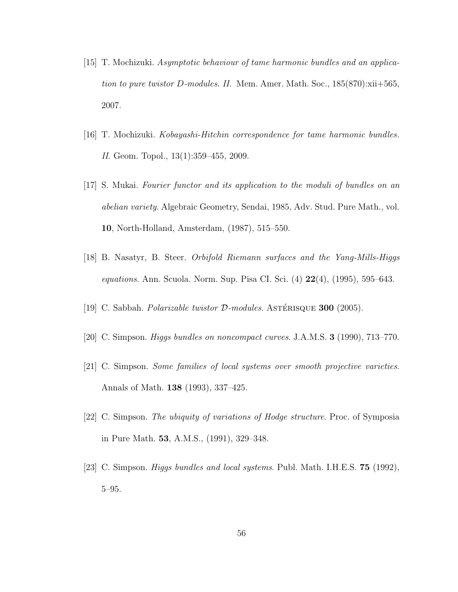- [15] T. Mochizuki. Asymptotic behaviour of tame harmonic bundles and an application to pure twistor D-modules. II. Mem. Amer. Math. Soc.,  $185(870)$ : $xii+565$ , 2007.
- [16] T. Mochizuki. Kobayashi-Hitchin correspondence for tame harmonic bundles. II. Geom. Topol., 13(1):359–455, 2009.
- [17] S. Mukai. Fourier functor and its application to the moduli of bundles on an abelian variety. Algebraic Geometry, Sendai, 1985, Adv. Stud. Pure Math., vol. 10, North-Holland, Amsterdam, (1987), 515–550.
- [18] B. Nasatyr, B. Steer. Orbifold Riemann surfaces and the Yang-Mills-Higgs equations. Ann. Scuola. Norm. Sup. Pisa CI. Sci. (4) 22(4), (1995), 595–643.
- [19] C. Sabbah. *Polarizable twistor*  $\mathcal{D}\text{-modules}$ . ASTÉRISQUE **300** (2005).
- [20] C. Simpson. Higgs bundles on noncompact curves. J.A.M.S. 3 (1990), 713–770.
- [21] C. Simpson. Some families of local systems over smooth projective varieties. Annals of Math. 138 (1993), 337–425.
- [22] C. Simpson. The ubiquity of variations of Hodge structure. Proc. of Symposia in Pure Math. 53, A.M.S., (1991), 329–348.
- [23] C. Simpson. Higgs bundles and local systems. Publ. Math. I.H.E.S. 75 (1992), 5–95.